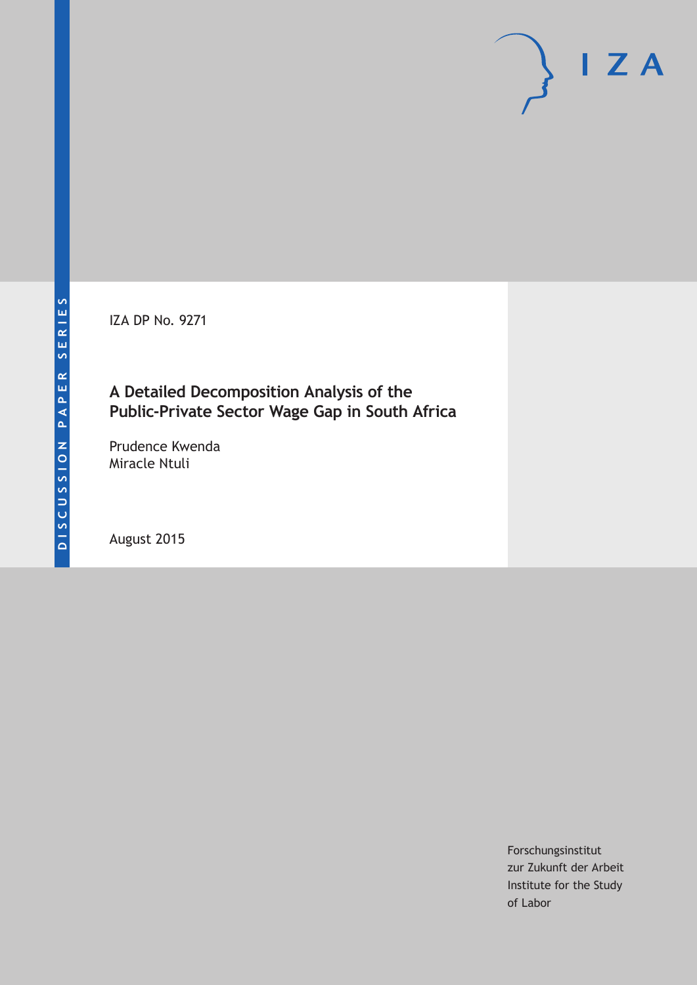IZA DP No. 9271

# **A Detailed Decomposition Analysis of the Public-Private Sector Wage Gap in South Africa**

Prudence Kwenda Miracle Ntuli

August 2015

Forschungsinstitut zur Zukunft der Arbeit Institute for the Study of Labor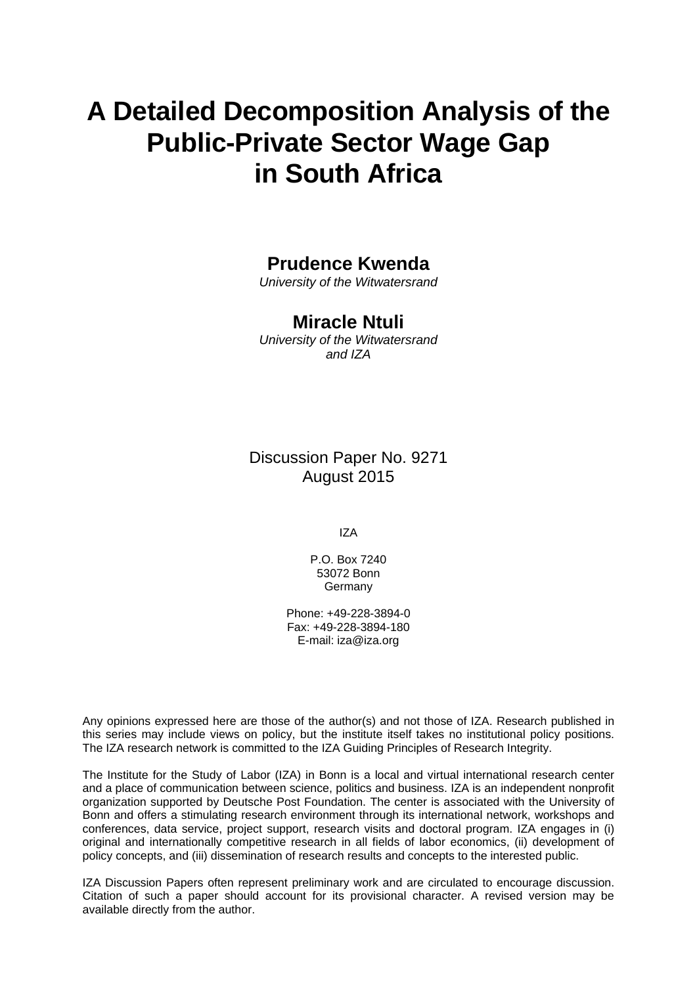# **A Detailed Decomposition Analysis of the Public-Private Sector Wage Gap in South Africa**

# **Prudence Kwenda**

*University of the Witwatersrand* 

## **Miracle Ntuli**

*University of the Witwatersrand and IZA* 

Discussion Paper No. 9271 August 2015

IZA

P.O. Box 7240 53072 Bonn **Germany** 

Phone: +49-228-3894-0 Fax: +49-228-3894-180 E-mail: iza@iza.org

Any opinions expressed here are those of the author(s) and not those of IZA. Research published in this series may include views on policy, but the institute itself takes no institutional policy positions. The IZA research network is committed to the IZA Guiding Principles of Research Integrity.

The Institute for the Study of Labor (IZA) in Bonn is a local and virtual international research center and a place of communication between science, politics and business. IZA is an independent nonprofit organization supported by Deutsche Post Foundation. The center is associated with the University of Bonn and offers a stimulating research environment through its international network, workshops and conferences, data service, project support, research visits and doctoral program. IZA engages in (i) original and internationally competitive research in all fields of labor economics, (ii) development of policy concepts, and (iii) dissemination of research results and concepts to the interested public.

IZA Discussion Papers often represent preliminary work and are circulated to encourage discussion. Citation of such a paper should account for its provisional character. A revised version may be available directly from the author.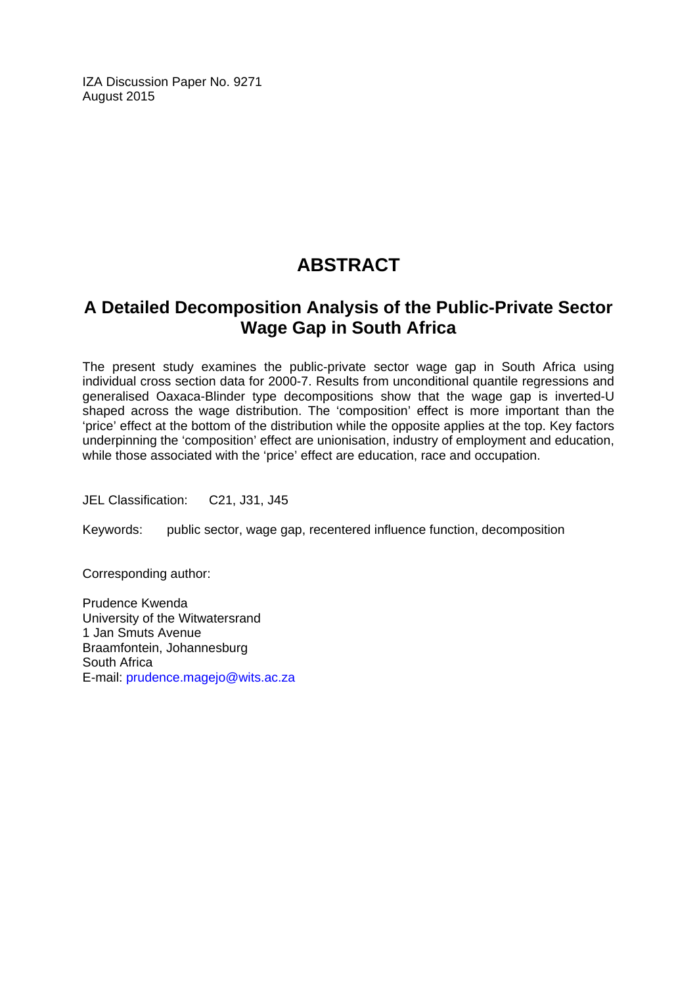IZA Discussion Paper No. 9271 August 2015

# **ABSTRACT**

# **A Detailed Decomposition Analysis of the Public-Private Sector Wage Gap in South Africa**

The present study examines the public-private sector wage gap in South Africa using individual cross section data for 2000-7. Results from unconditional quantile regressions and generalised Oaxaca-Blinder type decompositions show that the wage gap is inverted-U shaped across the wage distribution. The 'composition' effect is more important than the 'price' effect at the bottom of the distribution while the opposite applies at the top. Key factors underpinning the 'composition' effect are unionisation, industry of employment and education, while those associated with the 'price' effect are education, race and occupation.

JEL Classification: C21, J31, J45

Keywords: public sector, wage gap, recentered influence function, decomposition

Corresponding author:

Prudence Kwenda University of the Witwatersrand 1 Jan Smuts Avenue Braamfontein, Johannesburg South Africa E-mail: prudence.magejo@wits.ac.za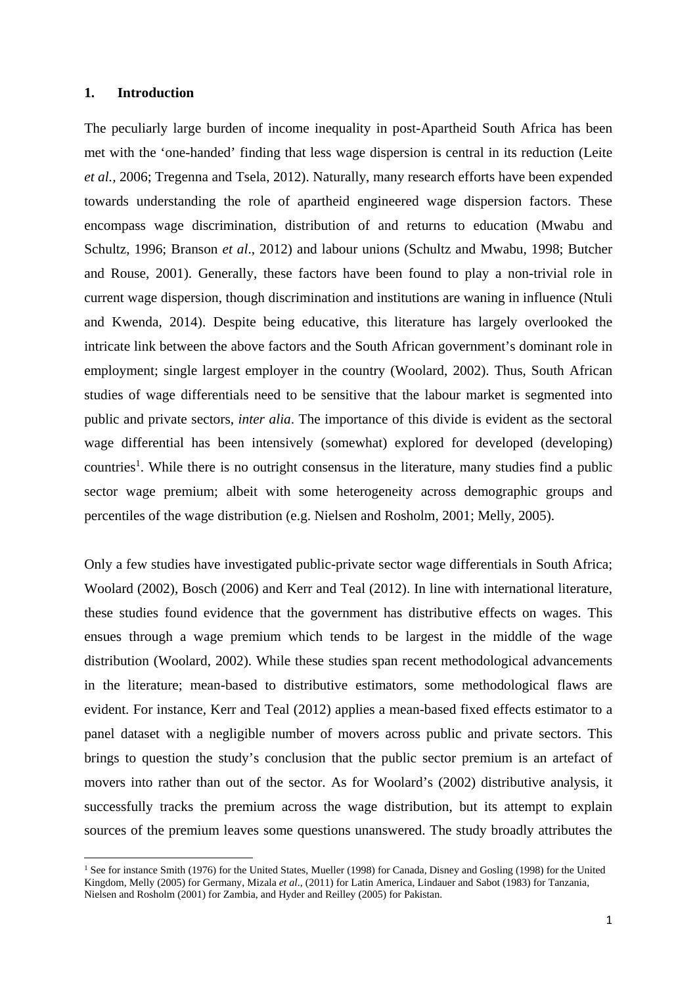#### **1. Introduction**

The peculiarly large burden of income inequality in post-Apartheid South Africa has been met with the 'one-handed' finding that less wage dispersion is central in its reduction (Leite *et al.,* 2006; Tregenna and Tsela, 2012). Naturally, many research efforts have been expended towards understanding the role of apartheid engineered wage dispersion factors. These encompass wage discrimination, distribution of and returns to education (Mwabu and Schultz, 1996; Branson *et al*., 2012) and labour unions (Schultz and Mwabu, 1998; Butcher and Rouse, 2001). Generally, these factors have been found to play a non-trivial role in current wage dispersion, though discrimination and institutions are waning in influence (Ntuli and Kwenda, 2014). Despite being educative, this literature has largely overlooked the intricate link between the above factors and the South African government's dominant role in employment; single largest employer in the country (Woolard, 2002). Thus, South African studies of wage differentials need to be sensitive that the labour market is segmented into public and private sectors, *inter alia*. The importance of this divide is evident as the sectoral wage differential has been intensively (somewhat) explored for developed (developing) countries<sup>1</sup>. While there is no outright consensus in the literature, many studies find a public sector wage premium; albeit with some heterogeneity across demographic groups and percentiles of the wage distribution (e.g. Nielsen and Rosholm, 2001; Melly, 2005).

Only a few studies have investigated public-private sector wage differentials in South Africa; Woolard (2002), Bosch (2006) and Kerr and Teal (2012). In line with international literature, these studies found evidence that the government has distributive effects on wages. This ensues through a wage premium which tends to be largest in the middle of the wage distribution (Woolard, 2002). While these studies span recent methodological advancements in the literature; mean-based to distributive estimators, some methodological flaws are evident. For instance, Kerr and Teal (2012) applies a mean-based fixed effects estimator to a panel dataset with a negligible number of movers across public and private sectors. This brings to question the study's conclusion that the public sector premium is an artefact of movers into rather than out of the sector. As for Woolard's (2002) distributive analysis, it successfully tracks the premium across the wage distribution, but its attempt to explain sources of the premium leaves some questions unanswered. The study broadly attributes the

<sup>1</sup> See for instance Smith (1976) for the United States, Mueller (1998) for Canada, Disney and Gosling (1998) for the United Kingdom, Melly (2005) for Germany, Mizala *et al*., (2011) for Latin America, Lindauer and Sabot (1983) for Tanzania, Nielsen and Rosholm (2001) for Zambia, and Hyder and Reilley (2005) for Pakistan.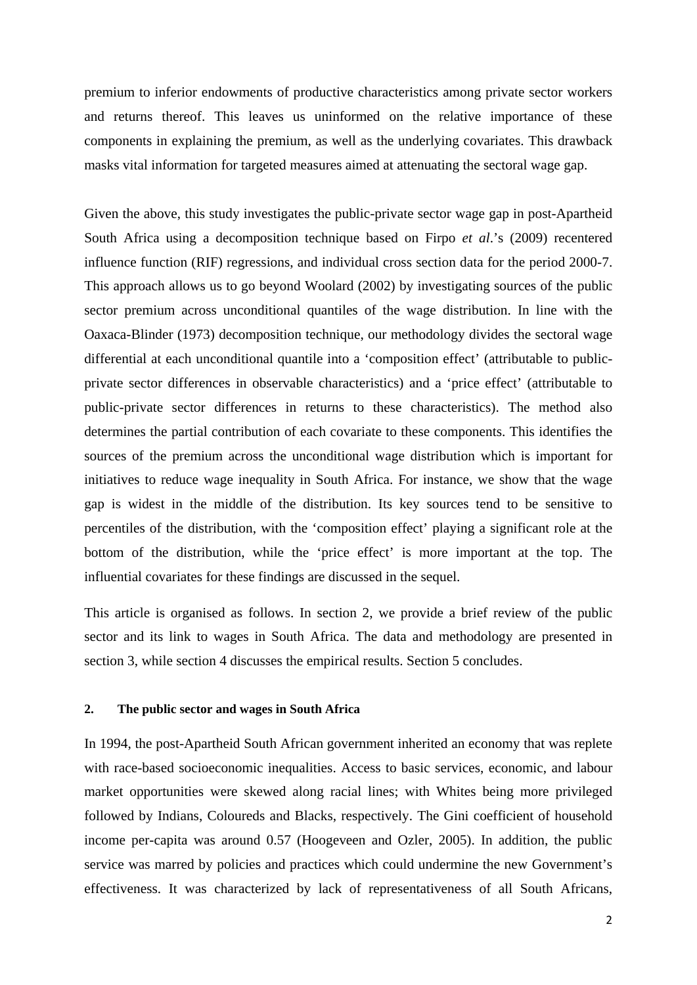premium to inferior endowments of productive characteristics among private sector workers and returns thereof. This leaves us uninformed on the relative importance of these components in explaining the premium, as well as the underlying covariates. This drawback masks vital information for targeted measures aimed at attenuating the sectoral wage gap.

Given the above, this study investigates the public-private sector wage gap in post-Apartheid South Africa using a decomposition technique based on Firpo *et al*.'s (2009) recentered influence function (RIF) regressions, and individual cross section data for the period 2000-7. This approach allows us to go beyond Woolard (2002) by investigating sources of the public sector premium across unconditional quantiles of the wage distribution. In line with the Oaxaca-Blinder (1973) decomposition technique, our methodology divides the sectoral wage differential at each unconditional quantile into a 'composition effect' (attributable to publicprivate sector differences in observable characteristics) and a 'price effect' (attributable to public-private sector differences in returns to these characteristics). The method also determines the partial contribution of each covariate to these components. This identifies the sources of the premium across the unconditional wage distribution which is important for initiatives to reduce wage inequality in South Africa. For instance, we show that the wage gap is widest in the middle of the distribution. Its key sources tend to be sensitive to percentiles of the distribution, with the 'composition effect' playing a significant role at the bottom of the distribution, while the 'price effect' is more important at the top. The influential covariates for these findings are discussed in the sequel.

This article is organised as follows. In section 2, we provide a brief review of the public sector and its link to wages in South Africa. The data and methodology are presented in section 3, while section 4 discusses the empirical results. Section 5 concludes.

#### **2. The public sector and wages in South Africa**

In 1994, the post-Apartheid South African government inherited an economy that was replete with race-based socioeconomic inequalities. Access to basic services, economic, and labour market opportunities were skewed along racial lines; with Whites being more privileged followed by Indians, Coloureds and Blacks, respectively. The Gini coefficient of household income per-capita was around 0.57 (Hoogeveen and Ozler, 2005). In addition, the public service was marred by policies and practices which could undermine the new Government's effectiveness. It was characterized by lack of representativeness of all South Africans,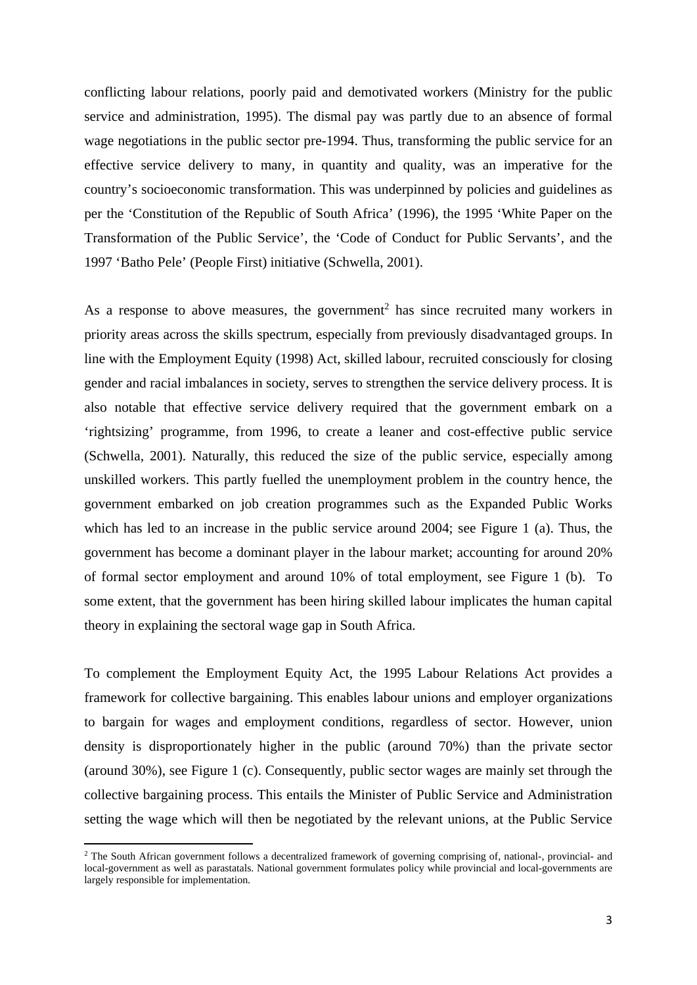conflicting labour relations, poorly paid and demotivated workers (Ministry for the public service and administration, 1995). The dismal pay was partly due to an absence of formal wage negotiations in the public sector pre-1994. Thus, transforming the public service for an effective service delivery to many, in quantity and quality, was an imperative for the country's socioeconomic transformation. This was underpinned by policies and guidelines as per the 'Constitution of the Republic of South Africa' (1996), the 1995 'White Paper on the Transformation of the Public Service', the 'Code of Conduct for Public Servants', and the 1997 'Batho Pele' (People First) initiative (Schwella, 2001).

As a response to above measures, the government<sup>2</sup> has since recruited many workers in priority areas across the skills spectrum, especially from previously disadvantaged groups. In line with the Employment Equity (1998) Act, skilled labour, recruited consciously for closing gender and racial imbalances in society, serves to strengthen the service delivery process. It is also notable that effective service delivery required that the government embark on a 'rightsizing' programme, from 1996, to create a leaner and cost-effective public service (Schwella, 2001). Naturally, this reduced the size of the public service, especially among unskilled workers. This partly fuelled the unemployment problem in the country hence, the government embarked on job creation programmes such as the Expanded Public Works which has led to an increase in the public service around 2004; see Figure 1 (a). Thus, the government has become a dominant player in the labour market; accounting for around 20% of formal sector employment and around 10% of total employment, see Figure 1 (b). To some extent, that the government has been hiring skilled labour implicates the human capital theory in explaining the sectoral wage gap in South Africa.

To complement the Employment Equity Act, the 1995 Labour Relations Act provides a framework for collective bargaining. This enables labour unions and employer organizations to bargain for wages and employment conditions, regardless of sector. However, union density is disproportionately higher in the public (around 70%) than the private sector (around 30%), see Figure 1 (c). Consequently, public sector wages are mainly set through the collective bargaining process. This entails the Minister of Public Service and Administration setting the wage which will then be negotiated by the relevant unions, at the Public Service

<sup>&</sup>lt;sup>2</sup> The South African government follows a decentralized framework of governing comprising of, national-, provincial- and local-government as well as parastatals. National government formulates policy while provincial and local-governments are largely responsible for implementation.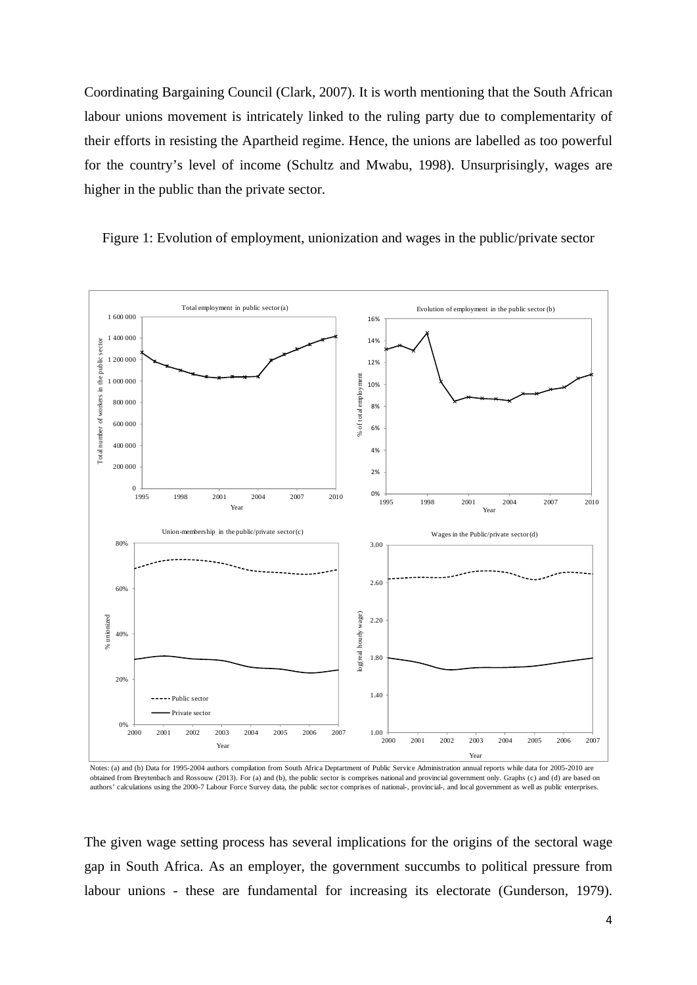Coordinating Bargaining Council (Clark, 2007). It is worth mentioning that the South African labour unions movement is intricately linked to the ruling party due to complementarity of their efforts in resisting the Apartheid regime. Hence, the unions are labelled as too powerful for the country's level of income (Schultz and Mwabu, 1998). Unsurprisingly, wages are higher in the public than the private sector.

Figure 1: Evolution of employment, unionization and wages in the public/private sector



Notes: (a) and (b) Data for 1995-2004 authors compilation from South Africa Deptartment of Public Service Administration annual reports while data for 2005-2010 are obtained from Breytenbach and Rossouw (2013). For (a) and (b), the public sector is comprises national and provincial government only. Graphs (c) and (d) are based on authors' calculations using the 2000-7 Labour Force Survey data, the public sector comprises of national-, provincial-, and local government as well as public enterprises.

The given wage setting process has several implications for the origins of the sectoral wage gap in South Africa. As an employer, the government succumbs to political pressure from labour unions - these are fundamental for increasing its electorate (Gunderson, 1979).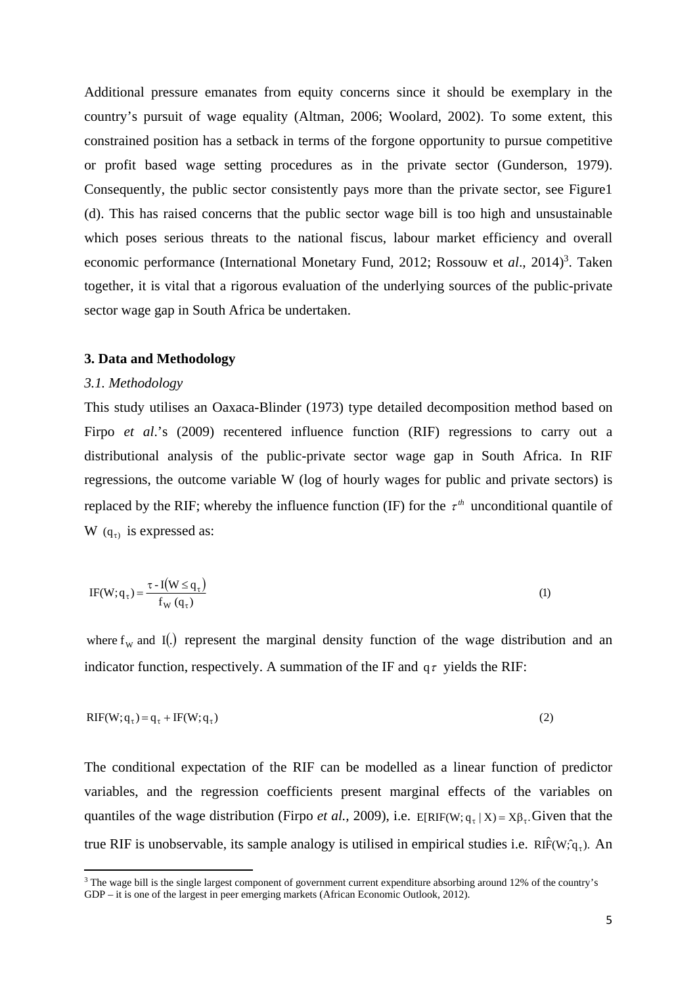Additional pressure emanates from equity concerns since it should be exemplary in the country's pursuit of wage equality (Altman, 2006; Woolard, 2002). To some extent, this constrained position has a setback in terms of the forgone opportunity to pursue competitive or profit based wage setting procedures as in the private sector (Gunderson, 1979). Consequently, the public sector consistently pays more than the private sector, see Figure1 (d). This has raised concerns that the public sector wage bill is too high and unsustainable which poses serious threats to the national fiscus, labour market efficiency and overall economic performance (International Monetary Fund, 2012; Rossouw et al., 2014)<sup>3</sup>. Taken together, it is vital that a rigorous evaluation of the underlying sources of the public-private sector wage gap in South Africa be undertaken.

#### **3. Data and Methodology**

#### *3.1. Methodology*

This study utilises an Oaxaca-Blinder (1973) type detailed decomposition method based on Firpo *et al.*'s (2009) recentered influence function (RIF) regressions to carry out a distributional analysis of the public-private sector wage gap in South Africa. In RIF regressions, the outcome variable W (log of hourly wages for public and private sectors) is replaced by the RIF; whereby the influence function (IF) for the  $\tau^{th}$  unconditional quantile of W  $(q_{\tau})$  is expressed as:

$$
IF(W; q_{\tau}) = \frac{\tau - I(W \leq q_{\tau})}{f_W(q_{\tau})}
$$
\n(1)

where  $f_w$  and I(.) represent the marginal density function of the wage distribution and an indicator function, respectively. A summation of the IF and  $q\tau$  yields the RIF:

$$
RIF(W; q\tau) = q\tau + IF(W; q\tau)
$$
 (2)

The conditional expectation of the RIF can be modelled as a linear function of predictor variables, and the regression coefficients present marginal effects of the variables on quantiles of the wage distribution (Firpo *et al.,* 2009), i.e.  $E[RIF(W; q_{\tau} | X) = X\beta_{\tau}$ . Given that the true RIF is unobservable, its sample analogy is utilised in empirical studies i.e.  $\text{Rif}(W; \hat{q}_7)$ . An

<sup>&</sup>lt;sup>3</sup> The wage bill is the single largest component of government current expenditure absorbing around 12% of the country's GDP – it is one of the largest in peer emerging markets (African Economic Outlook, 2012).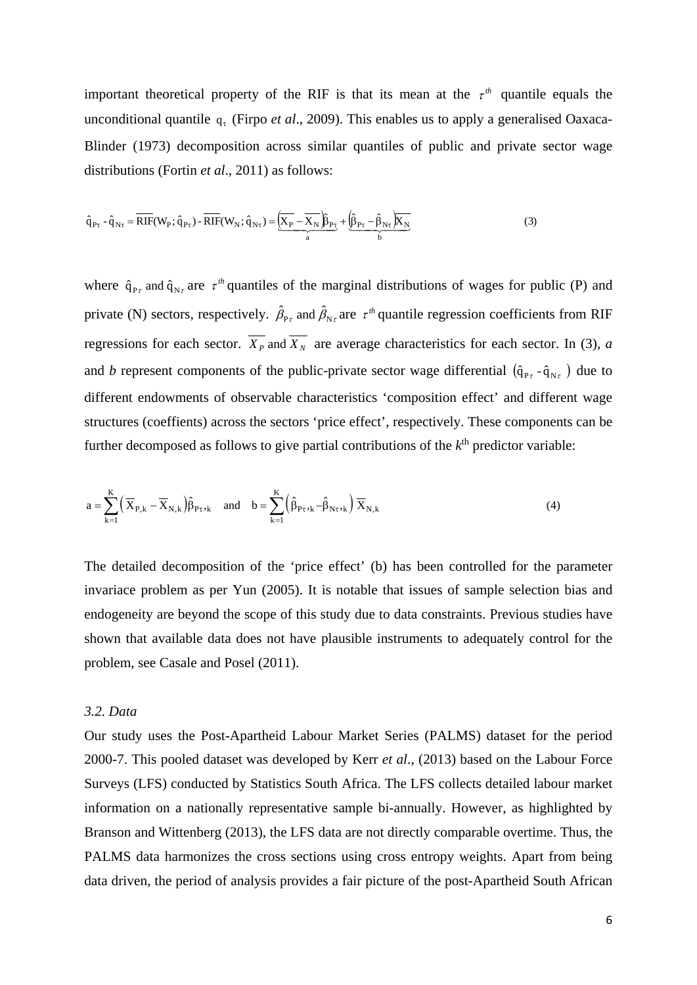important theoretical property of the RIF is that its mean at the  $\tau^{th}$  quantile equals the unconditional quantile  $q_t$  (Firpo *et al.*, 2009). This enables us to apply a generalised Oaxaca-Blinder (1973) decomposition across similar quantiles of public and private sector wage distributions (Fortin *et al*., 2011) as follows:

$$
\hat{q}_{P\tau} - \hat{q}_{N\tau} = \overline{RIF}(W_P; \hat{q}_{P\tau}) - \overline{RIF}(W_N; \hat{q}_{N\tau}) = \underbrace{\left(\overline{X_P} - \overline{X_N}\right)\hat{p}_{P\tau}}_{a} + \underbrace{\left(\hat{\beta}_{P\tau} - \hat{\beta}_{N\tau}\right)\overline{X_N}}_{b}
$$
\n(3)

where  $\hat{q}_{P\tau}$  and  $\hat{q}_{N\tau}$  are  $\tau^{\prime\prime}$  quantiles of the marginal distributions of wages for public (P) and private (N) sectors, respectively.  $\hat{\beta}_{P_{\tau}}$  and  $\hat{\beta}_{N_{\tau}}$  are  $\tau^{th}$  quantile regression coefficients from RIF regressions for each sector.  $\overline{X_p}$  and  $\overline{X_N}$  are average characteristics for each sector. In (3), *a* and *b* represent components of the public-private sector wage differential  $(\hat{q}_{P\tau} - \hat{q}_{N\tau})$  due to different endowments of observable characteristics 'composition effect' and different wage structures (coeffients) across the sectors 'price effect', respectively. These components can be further decomposed as follows to give partial contributions of the *k*th predictor variable:

$$
a = \sum_{k=1}^{K} \left( \overline{X}_{P,k} - \overline{X}_{N,k} \right) \hat{\beta}_{P\tau}, \quad \text{and} \quad b = \sum_{k=1}^{K} \left( \hat{\beta}_{P\tau}, \hat{\beta}_{N\tau}, \hat{\beta}_{N,k} \right) \overline{X}_{N,k}
$$
(4)

The detailed decomposition of the 'price effect' (b) has been controlled for the parameter invariace problem as per Yun (2005). It is notable that issues of sample selection bias and endogeneity are beyond the scope of this study due to data constraints. Previous studies have shown that available data does not have plausible instruments to adequately control for the problem, see Casale and Posel (2011).

#### *3.2. Data*

Our study uses the Post-Apartheid Labour Market Series (PALMS) dataset for the period 2000-7. This pooled dataset was developed by Kerr *et al*., (2013) based on the Labour Force Surveys (LFS) conducted by Statistics South Africa. The LFS collects detailed labour market information on a nationally representative sample bi-annually. However, as highlighted by Branson and Wittenberg (2013), the LFS data are not directly comparable overtime. Thus, the PALMS data harmonizes the cross sections using cross entropy weights. Apart from being data driven, the period of analysis provides a fair picture of the post-Apartheid South African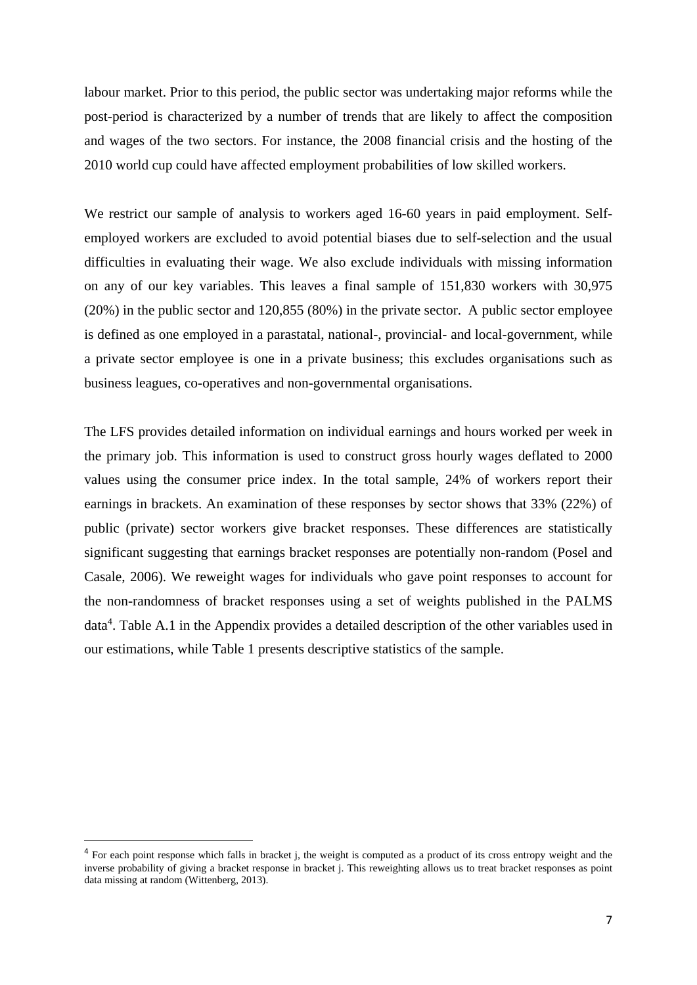labour market. Prior to this period, the public sector was undertaking major reforms while the post-period is characterized by a number of trends that are likely to affect the composition and wages of the two sectors. For instance, the 2008 financial crisis and the hosting of the 2010 world cup could have affected employment probabilities of low skilled workers.

We restrict our sample of analysis to workers aged 16-60 years in paid employment. Selfemployed workers are excluded to avoid potential biases due to self-selection and the usual difficulties in evaluating their wage. We also exclude individuals with missing information on any of our key variables. This leaves a final sample of 151,830 workers with 30,975 (20%) in the public sector and 120,855 (80%) in the private sector. A public sector employee is defined as one employed in a parastatal, national-, provincial- and local-government, while a private sector employee is one in a private business; this excludes organisations such as business leagues, co-operatives and non-governmental organisations.

The LFS provides detailed information on individual earnings and hours worked per week in the primary job. This information is used to construct gross hourly wages deflated to 2000 values using the consumer price index. In the total sample, 24% of workers report their earnings in brackets. An examination of these responses by sector shows that 33% (22%) of public (private) sector workers give bracket responses. These differences are statistically significant suggesting that earnings bracket responses are potentially non-random (Posel and Casale, 2006). We reweight wages for individuals who gave point responses to account for the non-randomness of bracket responses using a set of weights published in the PALMS data<sup>4</sup>. Table A.1 in the Appendix provides a detailed description of the other variables used in our estimations, while Table 1 presents descriptive statistics of the sample.

<sup>&</sup>lt;sup>4</sup> For each point response which falls in bracket j, the weight is computed as a product of its cross entropy weight and the inverse probability of giving a bracket response in bracket j. This reweighting allows us to treat bracket responses as point data missing at random (Wittenberg, 2013).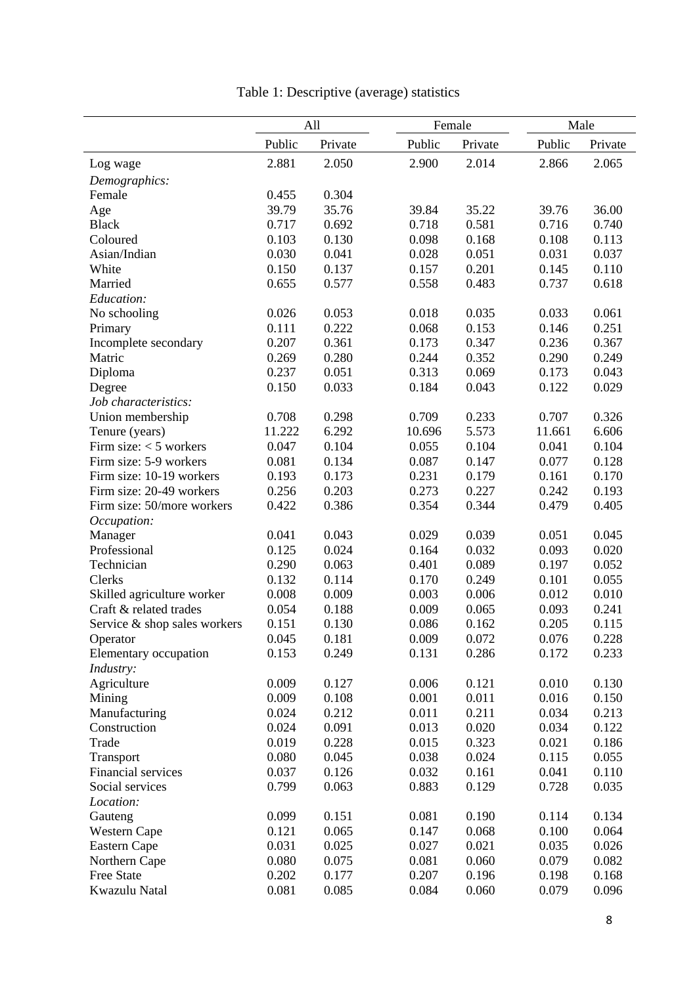|                              | All    |         |        | Female  | Male   |         |
|------------------------------|--------|---------|--------|---------|--------|---------|
|                              | Public | Private | Public | Private | Public | Private |
| Log wage                     | 2.881  | 2.050   | 2.900  | 2.014   | 2.866  | 2.065   |
|                              |        |         |        |         |        |         |
| Demographics:<br>Female      | 0.455  | 0.304   |        |         |        |         |
|                              | 39.79  | 35.76   | 39.84  | 35.22   | 39.76  | 36.00   |
| Age<br><b>Black</b>          | 0.717  | 0.692   | 0.718  | 0.581   | 0.716  | 0.740   |
| Coloured                     | 0.103  | 0.130   | 0.098  | 0.168   | 0.108  | 0.113   |
| Asian/Indian                 | 0.030  | 0.041   | 0.028  | 0.051   | 0.031  | 0.037   |
| White                        | 0.150  | 0.137   | 0.157  | 0.201   | 0.145  | 0.110   |
| Married                      | 0.655  | 0.577   | 0.558  | 0.483   | 0.737  | 0.618   |
|                              |        |         |        |         |        |         |
| Education:                   |        |         |        |         |        |         |
| No schooling                 | 0.026  | 0.053   | 0.018  | 0.035   | 0.033  | 0.061   |
| Primary                      | 0.111  | 0.222   | 0.068  | 0.153   | 0.146  | 0.251   |
| Incomplete secondary         | 0.207  | 0.361   | 0.173  | 0.347   | 0.236  | 0.367   |
| Matric                       | 0.269  | 0.280   | 0.244  | 0.352   | 0.290  | 0.249   |
| Diploma                      | 0.237  | 0.051   | 0.313  | 0.069   | 0.173  | 0.043   |
| Degree                       | 0.150  | 0.033   | 0.184  | 0.043   | 0.122  | 0.029   |
| Job characteristics:         |        |         |        |         |        |         |
| Union membership             | 0.708  | 0.298   | 0.709  | 0.233   | 0.707  | 0.326   |
| Tenure (years)               | 11.222 | 6.292   | 10.696 | 5.573   | 11.661 | 6.606   |
| Firm size: $<$ 5 workers     | 0.047  | 0.104   | 0.055  | 0.104   | 0.041  | 0.104   |
| Firm size: 5-9 workers       | 0.081  | 0.134   | 0.087  | 0.147   | 0.077  | 0.128   |
| Firm size: 10-19 workers     | 0.193  | 0.173   | 0.231  | 0.179   | 0.161  | 0.170   |
| Firm size: 20-49 workers     | 0.256  | 0.203   | 0.273  | 0.227   | 0.242  | 0.193   |
| Firm size: 50/more workers   | 0.422  | 0.386   | 0.354  | 0.344   | 0.479  | 0.405   |
| Occupation:                  |        |         |        |         |        |         |
| Manager                      | 0.041  | 0.043   | 0.029  | 0.039   | 0.051  | 0.045   |
| Professional                 | 0.125  | 0.024   | 0.164  | 0.032   | 0.093  | 0.020   |
| Technician                   | 0.290  | 0.063   | 0.401  | 0.089   | 0.197  | 0.052   |
| Clerks                       | 0.132  | 0.114   | 0.170  | 0.249   | 0.101  | 0.055   |
| Skilled agriculture worker   | 0.008  | 0.009   | 0.003  | 0.006   | 0.012  | 0.010   |
| Craft & related trades       | 0.054  | 0.188   | 0.009  | 0.065   | 0.093  | 0.241   |
| Service & shop sales workers | 0.151  | 0.130   | 0.086  | 0.162   | 0.205  | 0.115   |
| Operator                     | 0.045  | 0.181   | 0.009  | 0.072   | 0.076  | 0.228   |
| Elementary occupation        | 0.153  | 0.249   | 0.131  | 0.286   | 0.172  | 0.233   |
| Industry:                    |        |         |        |         |        |         |
| Agriculture                  | 0.009  | 0.127   | 0.006  | 0.121   | 0.010  | 0.130   |
| Mining                       | 0.009  | 0.108   | 0.001  | 0.011   | 0.016  | 0.150   |
| Manufacturing                | 0.024  | 0.212   | 0.011  | 0.211   | 0.034  | 0.213   |
| Construction                 | 0.024  | 0.091   | 0.013  | 0.020   | 0.034  | 0.122   |
| Trade                        | 0.019  | 0.228   | 0.015  | 0.323   | 0.021  | 0.186   |
| Transport                    | 0.080  | 0.045   | 0.038  | 0.024   | 0.115  | 0.055   |
| Financial services           | 0.037  | 0.126   | 0.032  | 0.161   | 0.041  | 0.110   |
| Social services              | 0.799  | 0.063   | 0.883  | 0.129   | 0.728  | 0.035   |
| Location:                    |        |         |        |         |        |         |
| Gauteng                      | 0.099  | 0.151   | 0.081  | 0.190   | 0.114  | 0.134   |
| Western Cape                 | 0.121  | 0.065   | 0.147  | 0.068   | 0.100  | 0.064   |
| Eastern Cape                 | 0.031  | 0.025   | 0.027  | 0.021   | 0.035  | 0.026   |
| Northern Cape                | 0.080  | 0.075   | 0.081  | 0.060   | 0.079  | 0.082   |
| Free State                   | 0.202  | 0.177   | 0.207  | 0.196   | 0.198  | 0.168   |
| Kwazulu Natal                | 0.081  | 0.085   | 0.084  | 0.060   | 0.079  | 0.096   |
|                              |        |         |        |         |        |         |

# Table 1: Descriptive (average) statistics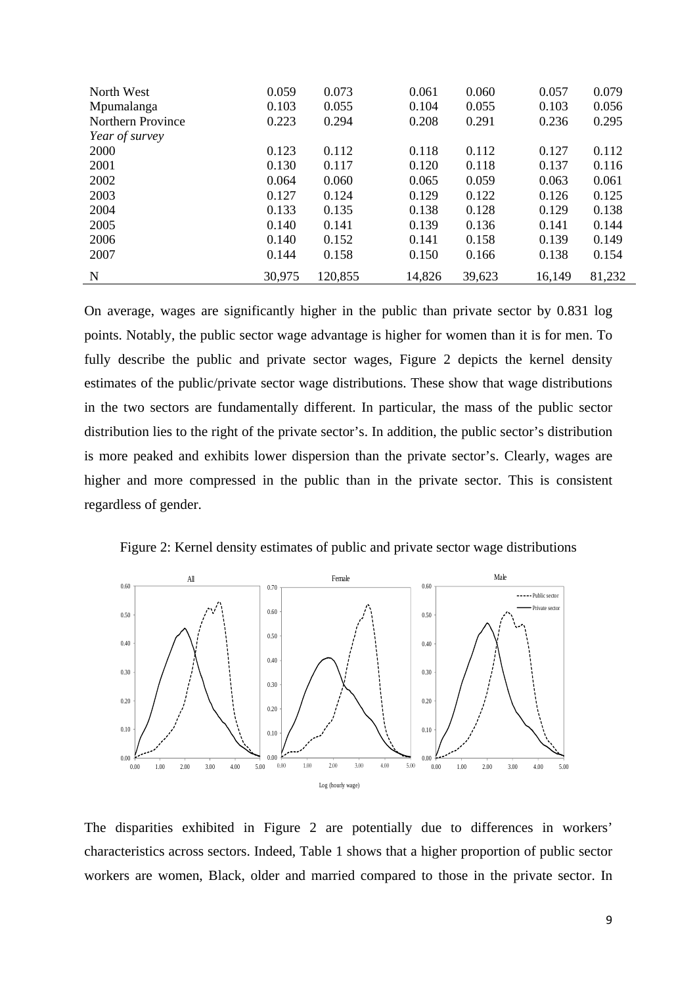| North West        | 0.059  | 0.073   | 0.061  | 0.060  | 0.057  | 0.079  |
|-------------------|--------|---------|--------|--------|--------|--------|
| Mpumalanga        | 0.103  | 0.055   | 0.104  | 0.055  | 0.103  | 0.056  |
| Northern Province | 0.223  | 0.294   | 0.208  | 0.291  | 0.236  | 0.295  |
| Year of survey    |        |         |        |        |        |        |
| 2000              | 0.123  | 0.112   | 0.118  | 0.112  | 0.127  | 0.112  |
| 2001              | 0.130  | 0.117   | 0.120  | 0.118  | 0.137  | 0.116  |
| 2002              | 0.064  | 0.060   | 0.065  | 0.059  | 0.063  | 0.061  |
| 2003              | 0.127  | 0.124   | 0.129  | 0.122  | 0.126  | 0.125  |
| 2004              | 0.133  | 0.135   | 0.138  | 0.128  | 0.129  | 0.138  |
| 2005              | 0.140  | 0.141   | 0.139  | 0.136  | 0.141  | 0.144  |
| 2006              | 0.140  | 0.152   | 0.141  | 0.158  | 0.139  | 0.149  |
| 2007              | 0.144  | 0.158   | 0.150  | 0.166  | 0.138  | 0.154  |
| N                 | 30,975 | 120,855 | 14,826 | 39,623 | 16,149 | 81,232 |

On average, wages are significantly higher in the public than private sector by 0.831 log points. Notably, the public sector wage advantage is higher for women than it is for men. To fully describe the public and private sector wages, Figure 2 depicts the kernel density estimates of the public/private sector wage distributions. These show that wage distributions in the two sectors are fundamentally different. In particular, the mass of the public sector distribution lies to the right of the private sector's. In addition, the public sector's distribution is more peaked and exhibits lower dispersion than the private sector's. Clearly, wages are higher and more compressed in the public than in the private sector. This is consistent regardless of gender.





The disparities exhibited in Figure 2 are potentially due to differences in workers' characteristics across sectors. Indeed, Table 1 shows that a higher proportion of public sector workers are women, Black, older and married compared to those in the private sector. In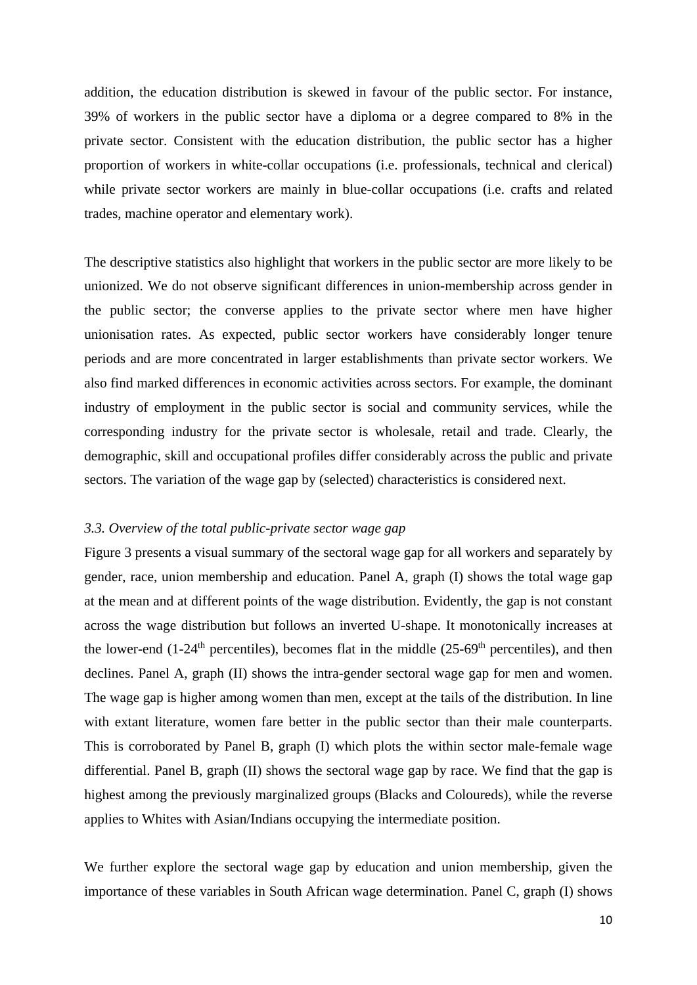addition, the education distribution is skewed in favour of the public sector. For instance, 39% of workers in the public sector have a diploma or a degree compared to 8% in the private sector. Consistent with the education distribution, the public sector has a higher proportion of workers in white-collar occupations (i.e. professionals, technical and clerical) while private sector workers are mainly in blue-collar occupations (i.e. crafts and related trades, machine operator and elementary work).

The descriptive statistics also highlight that workers in the public sector are more likely to be unionized. We do not observe significant differences in union-membership across gender in the public sector; the converse applies to the private sector where men have higher unionisation rates. As expected, public sector workers have considerably longer tenure periods and are more concentrated in larger establishments than private sector workers. We also find marked differences in economic activities across sectors. For example, the dominant industry of employment in the public sector is social and community services, while the corresponding industry for the private sector is wholesale, retail and trade. Clearly, the demographic, skill and occupational profiles differ considerably across the public and private sectors. The variation of the wage gap by (selected) characteristics is considered next.

#### *3.3. Overview of the total public-private sector wage gap*

Figure 3 presents a visual summary of the sectoral wage gap for all workers and separately by gender, race, union membership and education. Panel A, graph (I) shows the total wage gap at the mean and at different points of the wage distribution. Evidently, the gap is not constant across the wage distribution but follows an inverted U-shape. It monotonically increases at the lower-end (1-24<sup>th</sup> percentiles), becomes flat in the middle (25-69<sup>th</sup> percentiles), and then declines. Panel A, graph (II) shows the intra-gender sectoral wage gap for men and women. The wage gap is higher among women than men, except at the tails of the distribution. In line with extant literature, women fare better in the public sector than their male counterparts. This is corroborated by Panel B, graph (I) which plots the within sector male-female wage differential. Panel B, graph (II) shows the sectoral wage gap by race. We find that the gap is highest among the previously marginalized groups (Blacks and Coloureds), while the reverse applies to Whites with Asian/Indians occupying the intermediate position.

We further explore the sectoral wage gap by education and union membership, given the importance of these variables in South African wage determination. Panel C, graph (I) shows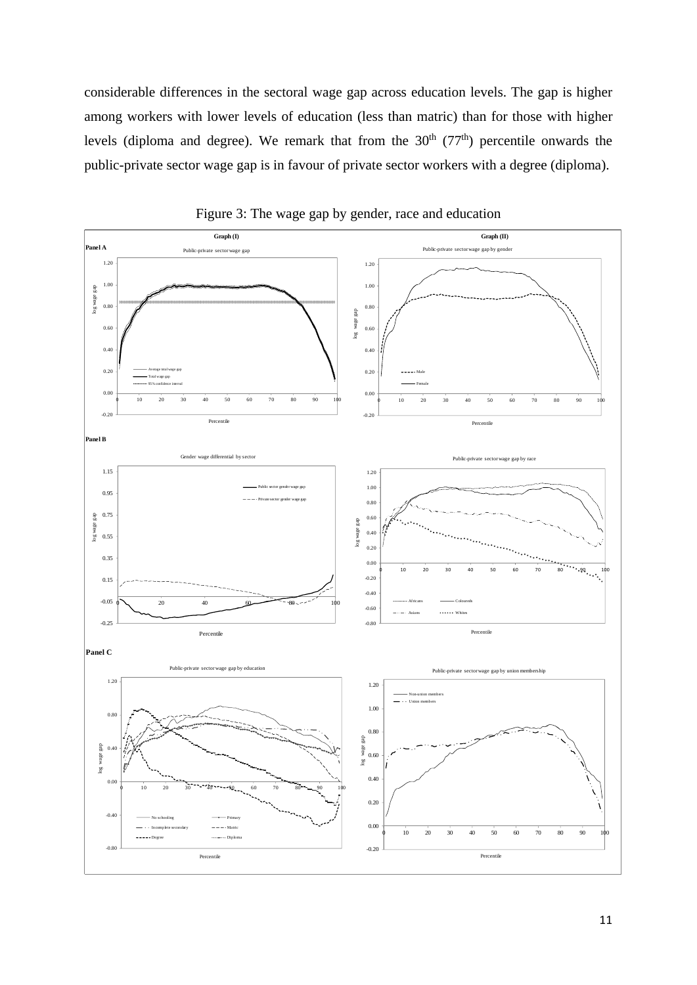considerable differences in the sectoral wage gap across education levels. The gap is higher among workers with lower levels of education (less than matric) than for those with higher levels (diploma and degree). We remark that from the  $30<sup>th</sup>$  (77<sup>th</sup>) percentile onwards the public-private sector wage gap is in favour of private sector workers with a degree (diploma).



Figure 3: The wage gap by gender, race and education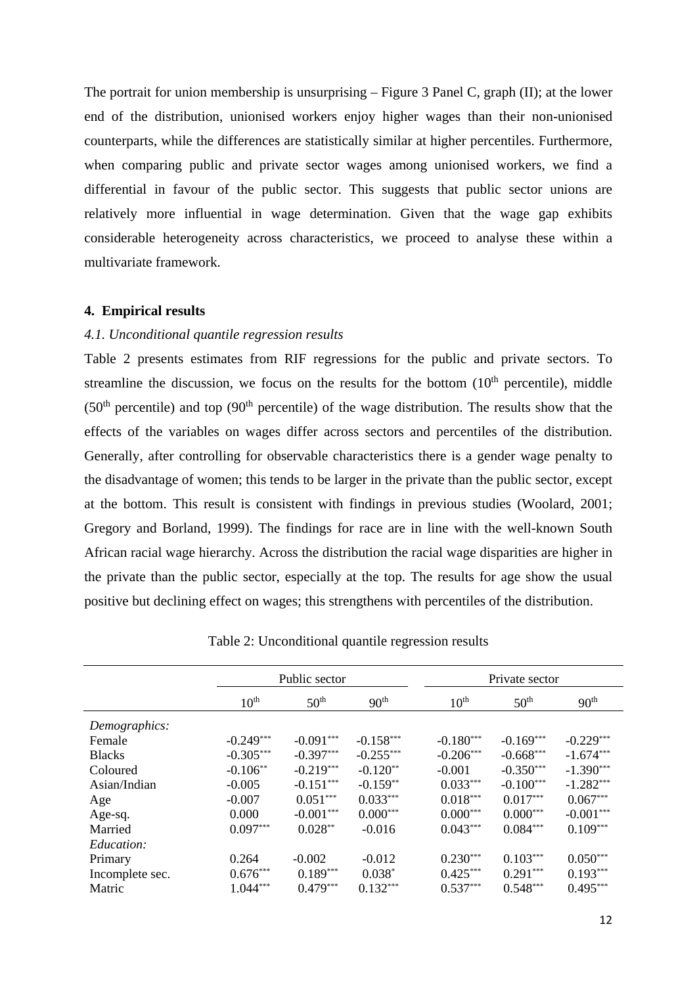The portrait for union membership is unsurprising – Figure 3 Panel C, graph (II); at the lower end of the distribution, unionised workers enjoy higher wages than their non-unionised counterparts, while the differences are statistically similar at higher percentiles. Furthermore, when comparing public and private sector wages among unionised workers, we find a differential in favour of the public sector. This suggests that public sector unions are relatively more influential in wage determination. Given that the wage gap exhibits considerable heterogeneity across characteristics, we proceed to analyse these within a multivariate framework.

#### **4. Empirical results**

#### *4.1. Unconditional quantile regression results*

Table 2 presents estimates from RIF regressions for the public and private sectors. To streamline the discussion, we focus on the results for the bottom  $(10<sup>th</sup>$  percentile), middle  $(50<sup>th</sup>$  percentile) and top  $(90<sup>th</sup>$  percentile) of the wage distribution. The results show that the effects of the variables on wages differ across sectors and percentiles of the distribution. Generally, after controlling for observable characteristics there is a gender wage penalty to the disadvantage of women; this tends to be larger in the private than the public sector, except at the bottom. This result is consistent with findings in previous studies (Woolard, 2001; Gregory and Borland, 1999). The findings for race are in line with the well-known South African racial wage hierarchy. Across the distribution the racial wage disparities are higher in the private than the public sector, especially at the top. The results for age show the usual positive but declining effect on wages; this strengthens with percentiles of the distribution.

|                 | Public sector    |                  |                  | Private sector   |                  |                  |  |
|-----------------|------------------|------------------|------------------|------------------|------------------|------------------|--|
|                 | $10^{\text{th}}$ | 50 <sup>th</sup> | 90 <sup>th</sup> | $10^{\text{th}}$ | 50 <sup>th</sup> | 90 <sup>th</sup> |  |
| Demographics:   |                  |                  |                  |                  |                  |                  |  |
| Female          | $-0.249***$      | $-0.091***$      | $-0.158***$      | $-0.180***$      | $-0.169***$      | $-0.229***$      |  |
| <b>Blacks</b>   | $-0.305***$      | $-0.397***$      | $-0.255***$      | $-0.206***$      | $-0.668***$      | $-1.674***$      |  |
| Coloured        | $-0.106**$       | $-0.219***$      | $-0.120**$       | $-0.001$         | $-0.350***$      | $-1.390***$      |  |
| Asian/Indian    | $-0.005$         | $-0.151***$      | $-0.159**$       | $0.033***$       | $-0.100***$      | $-1.282***$      |  |
| Age             | $-0.007$         | $0.051***$       | $0.033***$       | $0.018***$       | $0.017***$       | $0.067***$       |  |
| Age-sq.         | 0.000            | $-0.001***$      | $0.000***$       | $0.000***$       | $0.000***$       | $-0.001***$      |  |
| Married         | $0.097***$       | $0.028**$        | $-0.016$         | $0.043***$       | $0.084***$       | $0.109***$       |  |
| Education:      |                  |                  |                  |                  |                  |                  |  |
| Primary         | 0.264            | $-0.002$         | $-0.012$         | $0.230***$       | $0.103***$       | $0.050***$       |  |
| Incomplete sec. | $0.676***$       | $0.189***$       | $0.038*$         | $0.425***$       | $0.291***$       | $0.193***$       |  |
| Matric          | $1.044***$       | $0.479***$       | $0.132***$       | $0.537***$       | $0.548***$       | $0.495***$       |  |

Table 2: Unconditional quantile regression results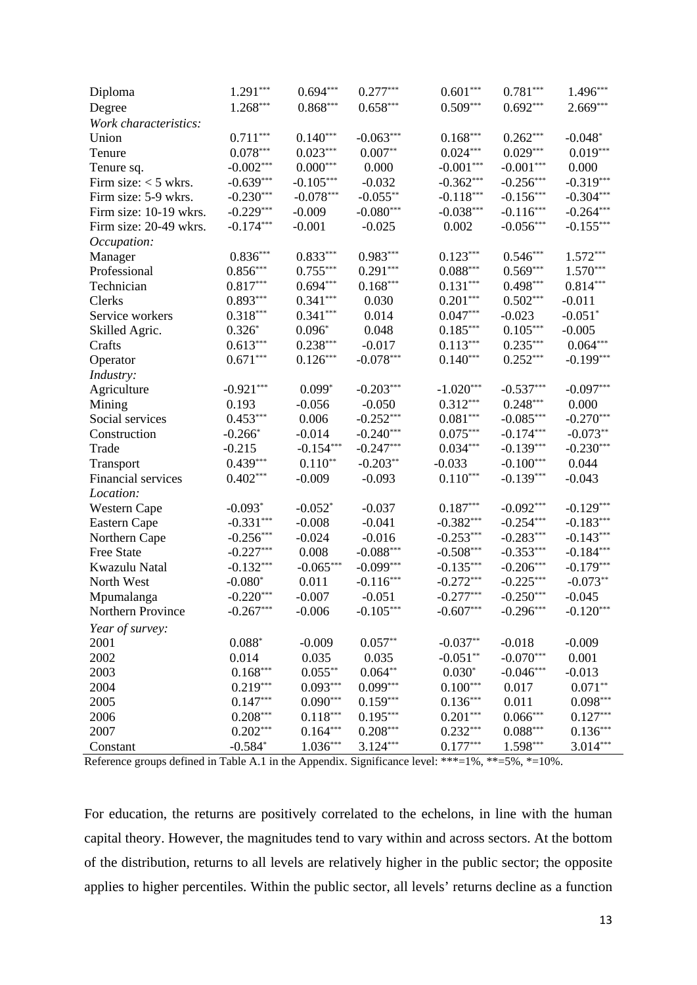| Diploma                | $1.291***$  | $0.694***$  | $0.277***$  | $0.601***$  | $0.781***$  | $1.496***$  |
|------------------------|-------------|-------------|-------------|-------------|-------------|-------------|
| Degree                 | $1.268***$  | $0.868***$  | $0.658***$  | $0.509***$  | $0.692***$  | $2.669***$  |
| Work characteristics:  |             |             |             |             |             |             |
| Union                  | $0.711***$  | $0.140***$  | $-0.063***$ | $0.168***$  | $0.262***$  | $-0.048*$   |
| Tenure                 | $0.078***$  | $0.023***$  | $0.007**$   | $0.024***$  | $0.029***$  | $0.019***$  |
| Tenure sq.             | $-0.002***$ | $0.000***$  | 0.000       | $-0.001***$ | $-0.001***$ | 0.000       |
| Firm size: $<$ 5 wkrs. | $-0.639***$ | $-0.105***$ | $-0.032$    | $-0.362***$ | $-0.256***$ | $-0.319***$ |
| Firm size: 5-9 wkrs.   | $-0.230***$ | $-0.078***$ | $-0.055**$  | $-0.118***$ | $-0.156***$ | $-0.304***$ |
| Firm size: 10-19 wkrs. | $-0.229***$ | $-0.009$    | $-0.080***$ | $-0.038***$ | $-0.116***$ | $-0.264***$ |
| Firm size: 20-49 wkrs. | $-0.174***$ | $-0.001$    | $-0.025$    | 0.002       | $-0.056***$ | $-0.155***$ |
| Occupation:            |             |             |             |             |             |             |
| Manager                | $0.836***$  | $0.833***$  | $0.983***$  | $0.123***$  | $0.546***$  | $1.572***$  |
| Professional           | $0.856***$  | $0.755***$  | $0.291***$  | $0.088***$  | $0.569***$  | $1.570***$  |
| Technician             | $0.817***$  | $0.694***$  | $0.168***$  | $0.131***$  | $0.498***$  | $0.814***$  |
| Clerks                 | $0.893***$  | $0.341***$  | 0.030       | $0.201***$  | $0.502***$  | $-0.011$    |
| Service workers        | $0.318***$  | $0.341***$  | 0.014       | $0.047***$  | $-0.023$    | $-0.051*$   |
| Skilled Agric.         | $0.326*$    | $0.096*$    | 0.048       | $0.185***$  | $0.105***$  | $-0.005$    |
| Crafts                 | $0.613***$  | $0.238***$  | $-0.017$    | $0.113***$  | $0.235***$  | $0.064***$  |
| Operator               | $0.671***$  | $0.126***$  | $-0.078***$ | $0.140***$  | $0.252***$  | $-0.199***$ |
| Industry:              |             |             |             |             |             |             |
| Agriculture            | $-0.921***$ | $0.099*$    | $-0.203***$ | $-1.020***$ | $-0.537***$ | $-0.097***$ |
| Mining                 | 0.193       | $-0.056$    | $-0.050$    | $0.312***$  | $0.248***$  | 0.000       |
| Social services        | $0.453***$  | 0.006       | $-0.252***$ | $0.081***$  | $-0.085***$ | $-0.270***$ |
| Construction           | $-0.266*$   | $-0.014$    | $-0.240***$ | $0.075***$  | $-0.174***$ | $-0.073**$  |
| Trade                  | $-0.215$    | $-0.154***$ | $-0.247***$ | $0.034***$  | $-0.139***$ | $-0.230***$ |
| Transport              | $0.439***$  | $0.110**$   | $-0.203**$  | $-0.033$    | $-0.100***$ | 0.044       |
| Financial services     | $0.402***$  | $-0.009$    | $-0.093$    | $0.110***$  | $-0.139***$ | $-0.043$    |
| Location:              |             |             |             |             |             |             |
| Western Cape           | $-0.093*$   | $-0.052*$   | $-0.037$    | $0.187***$  | $-0.092***$ | $-0.129***$ |
| Eastern Cape           | $-0.331***$ | $-0.008$    | $-0.041$    | $-0.382***$ | $-0.254***$ | $-0.183***$ |
| Northern Cape          | $-0.256***$ | $-0.024$    | $-0.016$    | $-0.253***$ | $-0.283***$ | $-0.143***$ |
| <b>Free State</b>      | $-0.227***$ | 0.008       | $-0.088***$ | $-0.508***$ | $-0.353***$ | $-0.184***$ |
| Kwazulu Natal          | $-0.132***$ | $-0.065***$ | $-0.099***$ | $-0.135***$ | $-0.206***$ | $-0.179***$ |
| North West             | $-0.080*$   | 0.011       | $-0.116***$ | $-0.272***$ | $-0.225***$ | $-0.073**$  |
| Mpumalanga             | $-0.220***$ | $-0.007$    | $-0.051$    | $-0.277***$ | $-0.250***$ | $-0.045$    |
| Northern Province      | $-0.267***$ | $-0.006$    | $-0.105***$ | $-0.607***$ | $-0.296***$ | $-0.120***$ |
| Year of survey:        |             |             |             |             |             |             |
| 2001                   | $0.088*$    | $-0.009$    | $0.057**$   | $-0.037**$  | $-0.018$    | $-0.009$    |
| 2002                   | 0.014       | 0.035       | 0.035       | $-0.051**$  | $-0.070***$ | 0.001       |
| 2003                   | $0.168***$  | $0.055***$  | $0.064**$   | $0.030*$    | $-0.046***$ | $-0.013$    |
| 2004                   | $0.219***$  | $0.093***$  | $0.099***$  | $0.100***$  | 0.017       | $0.071**$   |
| 2005                   | $0.147***$  | $0.090***$  | $0.159***$  | $0.136***$  | 0.011       | $0.098***$  |
| 2006                   | $0.208***$  | $0.118***$  | $0.195***$  | $0.201***$  | $0.066***$  | $0.127***$  |
| 2007                   | $0.202***$  | $0.164***$  | $0.208***$  | $0.232***$  | $0.088***$  | $0.136***$  |
| Constant               | $-0.584*$   | $1.036***$  | $3.124***$  | $0.177***$  | 1.598***    | $3.014***$  |
|                        |             |             |             |             |             |             |

Reference groups defined in Table A.1 in the Appendix. Significance level: \*\*\*=1%, \*\*=5%, \*=10%.

For education, the returns are positively correlated to the echelons, in line with the human capital theory. However, the magnitudes tend to vary within and across sectors. At the bottom of the distribution, returns to all levels are relatively higher in the public sector; the opposite applies to higher percentiles. Within the public sector, all levels' returns decline as a function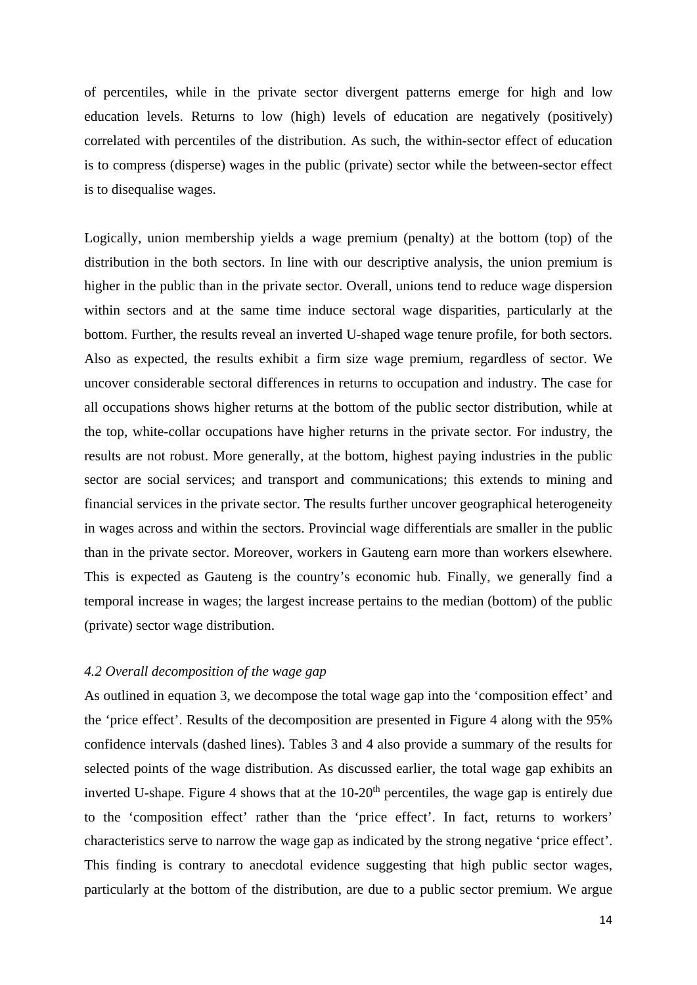of percentiles, while in the private sector divergent patterns emerge for high and low education levels. Returns to low (high) levels of education are negatively (positively) correlated with percentiles of the distribution. As such, the within-sector effect of education is to compress (disperse) wages in the public (private) sector while the between-sector effect is to disequalise wages.

Logically, union membership yields a wage premium (penalty) at the bottom (top) of the distribution in the both sectors. In line with our descriptive analysis, the union premium is higher in the public than in the private sector. Overall, unions tend to reduce wage dispersion within sectors and at the same time induce sectoral wage disparities, particularly at the bottom. Further, the results reveal an inverted U-shaped wage tenure profile, for both sectors. Also as expected, the results exhibit a firm size wage premium, regardless of sector. We uncover considerable sectoral differences in returns to occupation and industry. The case for all occupations shows higher returns at the bottom of the public sector distribution, while at the top, white-collar occupations have higher returns in the private sector. For industry, the results are not robust. More generally, at the bottom, highest paying industries in the public sector are social services; and transport and communications; this extends to mining and financial services in the private sector. The results further uncover geographical heterogeneity in wages across and within the sectors. Provincial wage differentials are smaller in the public than in the private sector. Moreover, workers in Gauteng earn more than workers elsewhere. This is expected as Gauteng is the country's economic hub. Finally, we generally find a temporal increase in wages; the largest increase pertains to the median (bottom) of the public (private) sector wage distribution.

#### *4.2 Overall decomposition of the wage gap*

As outlined in equation 3, we decompose the total wage gap into the 'composition effect' and the 'price effect'. Results of the decomposition are presented in Figure 4 along with the 95% confidence intervals (dashed lines). Tables 3 and 4 also provide a summary of the results for selected points of the wage distribution. As discussed earlier, the total wage gap exhibits an inverted U-shape. Figure 4 shows that at the  $10-20<sup>th</sup>$  percentiles, the wage gap is entirely due to the 'composition effect' rather than the 'price effect'. In fact, returns to workers' characteristics serve to narrow the wage gap as indicated by the strong negative 'price effect'. This finding is contrary to anecdotal evidence suggesting that high public sector wages, particularly at the bottom of the distribution, are due to a public sector premium. We argue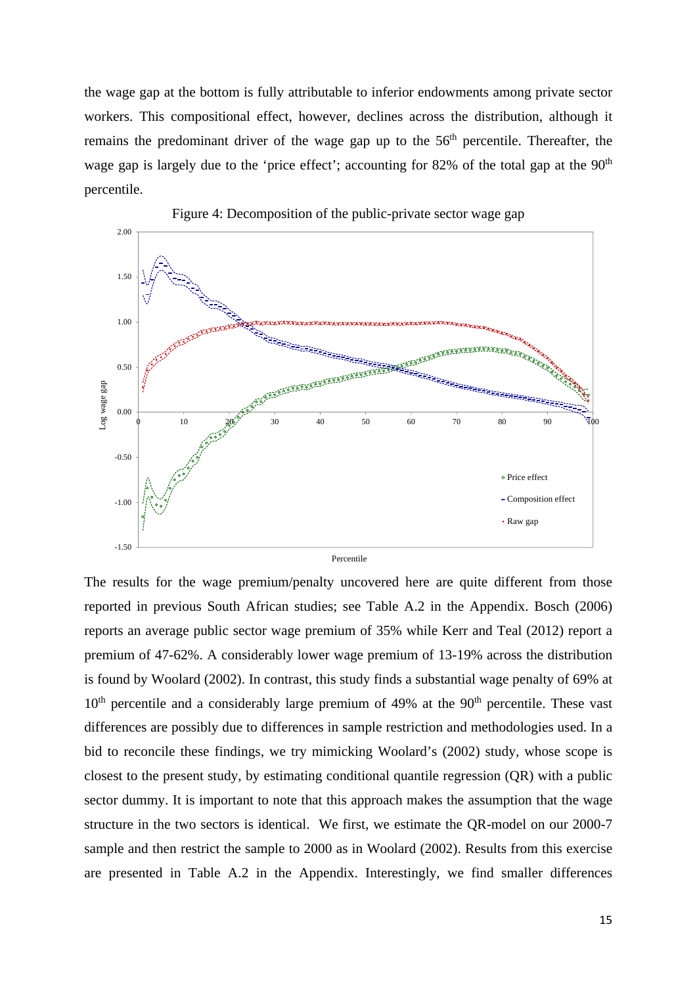the wage gap at the bottom is fully attributable to inferior endowments among private sector workers. This compositional effect, however, declines across the distribution, although it remains the predominant driver of the wage gap up to the  $56<sup>th</sup>$  percentile. Thereafter, the wage gap is largely due to the 'price effect'; accounting for 82% of the total gap at the  $90<sup>th</sup>$ percentile.



Figure 4: Decomposition of the public-private sector wage gap

The results for the wage premium/penalty uncovered here are quite different from those reported in previous South African studies; see Table A.2 in the Appendix. Bosch (2006) reports an average public sector wage premium of 35% while Kerr and Teal (2012) report a premium of 47-62%. A considerably lower wage premium of 13-19% across the distribution is found by Woolard (2002). In contrast, this study finds a substantial wage penalty of 69% at  $10<sup>th</sup>$  percentile and a considerably large premium of 49% at the 90<sup>th</sup> percentile. These vast differences are possibly due to differences in sample restriction and methodologies used. In a bid to reconcile these findings, we try mimicking Woolard's (2002) study, whose scope is closest to the present study, by estimating conditional quantile regression (QR) with a public sector dummy. It is important to note that this approach makes the assumption that the wage structure in the two sectors is identical. We first, we estimate the QR-model on our 2000-7 sample and then restrict the sample to 2000 as in Woolard (2002). Results from this exercise are presented in Table A.2 in the Appendix. Interestingly, we find smaller differences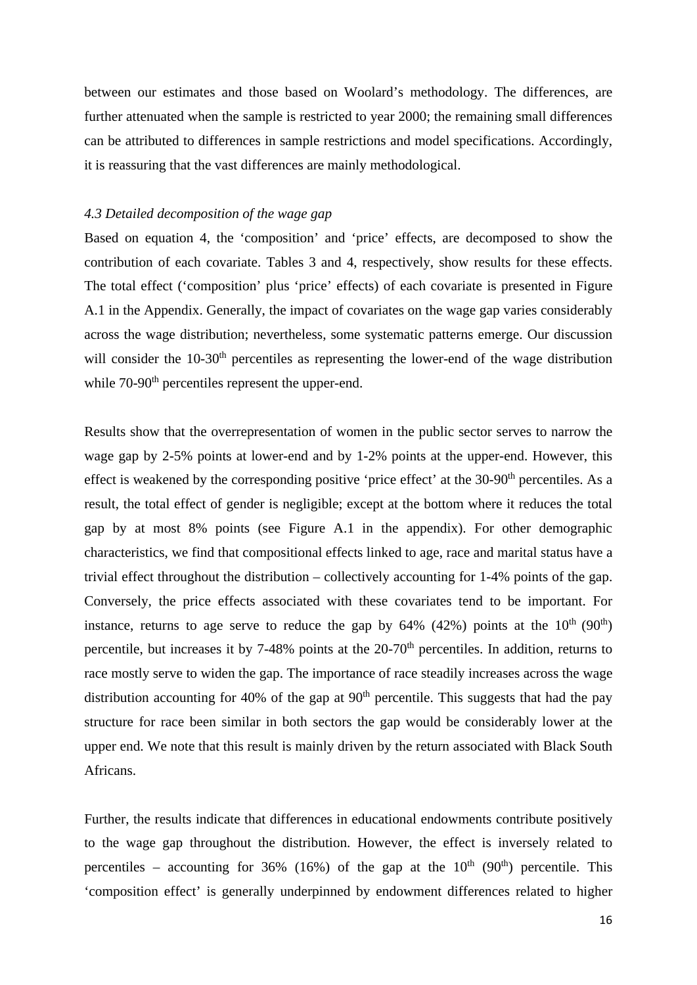between our estimates and those based on Woolard's methodology. The differences, are further attenuated when the sample is restricted to year 2000; the remaining small differences can be attributed to differences in sample restrictions and model specifications. Accordingly, it is reassuring that the vast differences are mainly methodological.

#### *4.3 Detailed decomposition of the wage gap*

Based on equation 4, the 'composition' and 'price' effects, are decomposed to show the contribution of each covariate. Tables 3 and 4, respectively, show results for these effects. The total effect ('composition' plus 'price' effects) of each covariate is presented in Figure A.1 in the Appendix. Generally, the impact of covariates on the wage gap varies considerably across the wage distribution; nevertheless, some systematic patterns emerge. Our discussion will consider the 10-30<sup>th</sup> percentiles as representing the lower-end of the wage distribution while  $70-90<sup>th</sup>$  percentiles represent the upper-end.

Results show that the overrepresentation of women in the public sector serves to narrow the wage gap by 2-5% points at lower-end and by 1-2% points at the upper-end. However, this effect is weakened by the corresponding positive 'price effect' at the  $30-90<sup>th</sup>$  percentiles. As a result, the total effect of gender is negligible; except at the bottom where it reduces the total gap by at most 8% points (see Figure A.1 in the appendix). For other demographic characteristics, we find that compositional effects linked to age, race and marital status have a trivial effect throughout the distribution – collectively accounting for 1-4% points of the gap. Conversely, the price effects associated with these covariates tend to be important. For instance, returns to age serve to reduce the gap by  $64\%$  (42%) points at the  $10^{th}$  (90<sup>th</sup>) percentile, but increases it by  $7-48\%$  points at the  $20-70<sup>th</sup>$  percentiles. In addition, returns to race mostly serve to widen the gap. The importance of race steadily increases across the wage distribution accounting for 40% of the gap at  $90<sup>th</sup>$  percentile. This suggests that had the pay structure for race been similar in both sectors the gap would be considerably lower at the upper end. We note that this result is mainly driven by the return associated with Black South Africans.

Further, the results indicate that differences in educational endowments contribute positively to the wage gap throughout the distribution. However, the effect is inversely related to percentiles – accounting for 36% (16%) of the gap at the  $10<sup>th</sup>$  (90<sup>th</sup>) percentile. This 'composition effect' is generally underpinned by endowment differences related to higher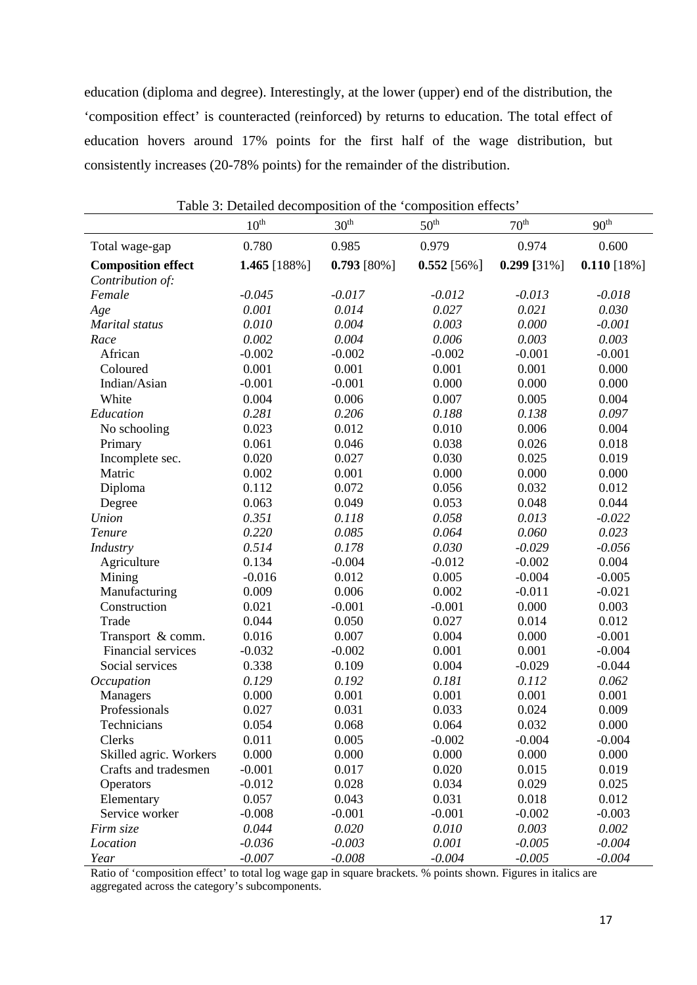education (diploma and degree). Interestingly, at the lower (upper) end of the distribution, the 'composition effect' is counteracted (reinforced) by returns to education. The total effect of education hovers around 17% points for the first half of the wage distribution, but consistently increases (20-78% points) for the remainder of the distribution.

|                           | $10^{\text{th}}$ | 30 <sup>th</sup> | 50 <sup>th</sup> | $70^{\text{th}}$ | 90 <sup>th</sup> |
|---------------------------|------------------|------------------|------------------|------------------|------------------|
| Total wage-gap            | 0.780            | 0.985            | 0.979            | 0.974            | 0.600            |
| <b>Composition effect</b> | 1.465 [188%]     | $0.793$ [80%]    | $0.552$ [56%]    | $0.299$ [31%]    | $0.110$ [18%]    |
| Contribution of:          |                  |                  |                  |                  |                  |
| Female                    | $-0.045$         | $-0.017$         | $-0.012$         | $-0.013$         | $-0.018$         |
| Age                       | 0.001            | 0.014            | 0.027            | 0.021            | 0.030            |
| <b>Marital</b> status     | 0.010            | 0.004            | 0.003            | 0.000            | $-0.001$         |
| Race                      | 0.002            | 0.004            | 0.006            | 0.003            | 0.003            |
| African                   | $-0.002$         | $-0.002$         | $-0.002$         | $-0.001$         | $-0.001$         |
| Coloured                  | 0.001            | 0.001            | 0.001            | 0.001            | 0.000            |
| Indian/Asian              | $-0.001$         | $-0.001$         | 0.000            | 0.000            | 0.000            |
| White                     | 0.004            | 0.006            | 0.007            | 0.005            | 0.004            |
| Education                 | 0.281            | 0.206            | 0.188            | 0.138            | 0.097            |
| No schooling              | 0.023            | 0.012            | 0.010            | 0.006            | 0.004            |
| Primary                   | 0.061            | 0.046            | 0.038            | 0.026            | 0.018            |
| Incomplete sec.           | 0.020            | 0.027            | 0.030            | 0.025            | 0.019            |
| Matric                    | 0.002            | 0.001            | 0.000            | 0.000            | 0.000            |
| Diploma                   | 0.112            | 0.072            | 0.056            | 0.032            | 0.012            |
| Degree                    | 0.063            | 0.049            | 0.053            | 0.048            | 0.044            |
| Union                     | 0.351            | 0.118            | 0.058            | 0.013            | $-0.022$         |
| Tenure                    | 0.220            | 0.085            | 0.064            | 0.060            | 0.023            |
| Industry                  | 0.514            | 0.178            | 0.030            | $-0.029$         | $-0.056$         |
| Agriculture               | 0.134            | $-0.004$         | $-0.012$         | $-0.002$         | 0.004            |
| Mining                    | $-0.016$         | 0.012            | 0.005            | $-0.004$         | $-0.005$         |
| Manufacturing             | 0.009            | 0.006            | 0.002            | $-0.011$         | $-0.021$         |
| Construction              | 0.021            | $-0.001$         | $-0.001$         | 0.000            | 0.003            |
| Trade                     | 0.044            | 0.050            | 0.027            | 0.014            | 0.012            |
| Transport & comm.         | 0.016            | 0.007            | 0.004            | 0.000            | $-0.001$         |
| Financial services        | $-0.032$         | $-0.002$         | 0.001            | 0.001            | $-0.004$         |
| Social services           | 0.338            | 0.109            | 0.004            | $-0.029$         | $-0.044$         |
| Occupation                | 0.129            | 0.192            | 0.181            | 0.112            | 0.062            |
| Managers                  | 0.000            | 0.001            | 0.001            | 0.001            | 0.001            |
| Professionals             | 0.027            | 0.031            | 0.033            | 0.024            | 0.009            |
| Technicians               | 0.054            | 0.068            | 0.064            | 0.032            | 0.000            |
| Clerks                    | 0.011            | 0.005            | $-0.002$         | $-0.004$         | $-0.004$         |
| Skilled agric. Workers    | 0.000            | 0.000            | 0.000            | 0.000            | 0.000            |
| Crafts and tradesmen      | $-0.001$         | 0.017            | 0.020            | 0.015            | 0.019            |
| Operators                 | $-0.012$         | 0.028            | 0.034            | 0.029            | 0.025            |
| Elementary                | 0.057            | 0.043            | 0.031            | 0.018            | 0.012            |
| Service worker            | $-0.008$         | $-0.001$         | $-0.001$         | $-0.002$         | $-0.003$         |
| Firm size                 | 0.044            | 0.020            | 0.010            | 0.003            | 0.002            |
| Location                  | $-0.036$         | $-0.003$         | 0.001            | $-0.005$         | $-0.004$         |
| Year                      | $-0.007$         | $-0.008$         | $-0.004$         | $-0.005$         | $-0.004$         |

Table 3: Detailed decomposition of the 'composition effects'

Ratio of 'composition effect' to total log wage gap in square brackets. % points shown. Figures in italics are aggregated across the category's subcomponents.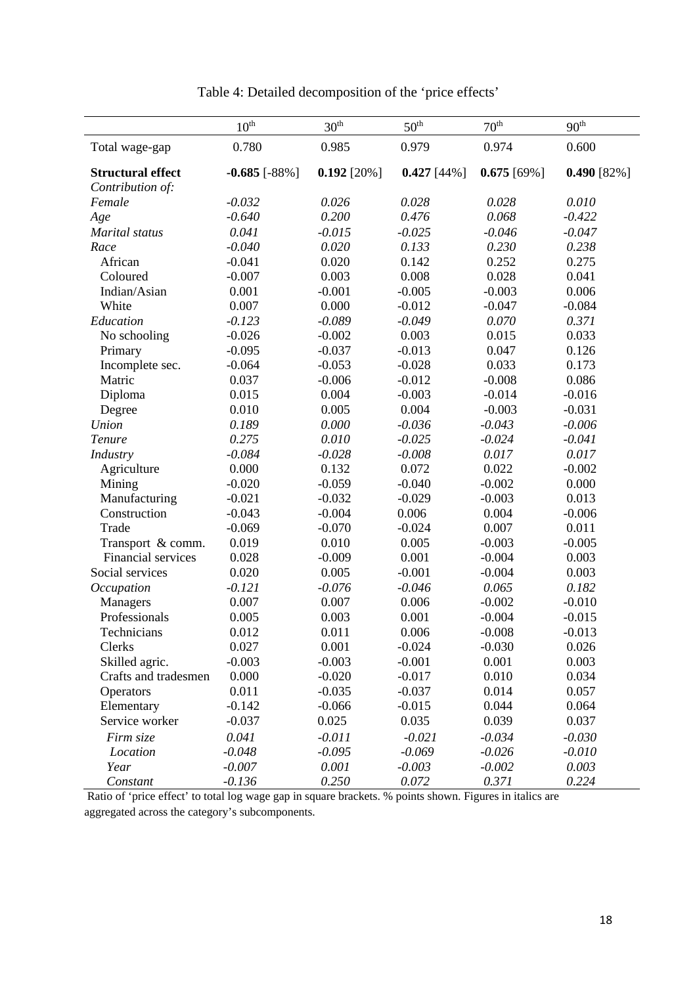|                          | 10 <sup>th</sup>     | 30 <sup>th</sup> | 50 <sup>th</sup> | 70 <sup>th</sup> | 90 <sup>th</sup> |
|--------------------------|----------------------|------------------|------------------|------------------|------------------|
| Total wage-gap           | 0.780                | 0.985            | 0.979            | 0.974            | 0.600            |
| <b>Structural effect</b> | $-0.685$ [ $-88\%$ ] | $0.192$ [20%]    | $0.427$ [44%]    | $0.675$ [69%]    | $0.490$ [82%]    |
| Contribution of:         |                      |                  |                  |                  |                  |
| Female                   | $-0.032$             | 0.026            | 0.028            | 0.028            | 0.010            |
| Age                      | $-0.640$             | 0.200            | 0.476            | 0.068            | $-0.422$         |
| Marital status           | 0.041                | $-0.015$         | $-0.025$         | $-0.046$         | $-0.047$         |
| Race                     | $-0.040$             | 0.020            | 0.133            | 0.230            | 0.238            |
| African                  | $-0.041$             | 0.020            | 0.142            | 0.252            | 0.275            |
| Coloured                 | $-0.007$             | 0.003            | 0.008            | 0.028            | 0.041            |
| Indian/Asian             | 0.001                | $-0.001$         | $-0.005$         | $-0.003$         | 0.006            |
| White                    | 0.007                | 0.000            | $-0.012$         | $-0.047$         | $-0.084$         |
| Education                | $-0.123$             | $-0.089$         | $-0.049$         | 0.070            | 0.371            |
| No schooling             | $-0.026$             | $-0.002$         | 0.003            | 0.015            | 0.033            |
| Primary                  | $-0.095$             | $-0.037$         | $-0.013$         | 0.047            | 0.126            |
| Incomplete sec.          | $-0.064$             | $-0.053$         | $-0.028$         | 0.033            | 0.173            |
| Matric                   | 0.037                | $-0.006$         | $-0.012$         | $-0.008$         | 0.086            |
| Diploma                  | 0.015                | 0.004            | $-0.003$         | $-0.014$         | $-0.016$         |
| Degree                   | 0.010                | 0.005            | 0.004            | $-0.003$         | $-0.031$         |
| Union                    | 0.189                | 0.000            | $-0.036$         | $-0.043$         | $-0.006$         |
| Tenure                   | 0.275                | 0.010            | $-0.025$         | $-0.024$         | $-0.041$         |
| Industry                 | $-0.084$             | $-0.028$         | $-0.008$         | 0.017            | 0.017            |
| Agriculture              | 0.000                | 0.132            | 0.072            | 0.022            | $-0.002$         |
| Mining                   | $-0.020$             | $-0.059$         | $-0.040$         | $-0.002$         | 0.000            |
| Manufacturing            | $-0.021$             | $-0.032$         | $-0.029$         | $-0.003$         | 0.013            |
| Construction             | $-0.043$             | $-0.004$         | 0.006            | 0.004            | $-0.006$         |
| Trade                    | $-0.069$             | $-0.070$         | $-0.024$         | 0.007            | 0.011            |
| Transport & comm.        | 0.019                | 0.010            | 0.005            | $-0.003$         | $-0.005$         |
| Financial services       | 0.028                | $-0.009$         | 0.001            | $-0.004$         | 0.003            |
| Social services          | 0.020                | 0.005            | $-0.001$         | $-0.004$         | 0.003            |
| Occupation               | $-0.121$             | $-0.076$         | $-0.046$         | 0.065            | 0.182            |
| Managers                 | 0.007                | 0.007            | 0.006            | $-0.002$         | $-0.010$         |
| Professionals            | 0.005                | 0.003            | 0.001            | $-0.004$         | $-0.015$         |
| Technicians              | 0.012                | 0.011            | 0.006            | $-0.008$         | $-0.013$         |
| Clerks                   | 0.027                | 0.001            | $-0.024$         | $-0.030$         | 0.026            |
| Skilled agric.           | $-0.003$             | $-0.003$         | $-0.001$         | 0.001            | 0.003            |
| Crafts and tradesmen     | 0.000                | $-0.020$         | $-0.017$         | 0.010            | 0.034            |
| Operators                | 0.011                | $-0.035$         | $-0.037$         | 0.014            | 0.057            |
| Elementary               | $-0.142$             | $-0.066$         | $-0.015$         | 0.044            | 0.064            |
| Service worker           | $-0.037$             | 0.025            | 0.035            | 0.039            | 0.037            |
| Firm size                | 0.041                | $-0.011$         | $-0.021$         | $-0.034$         | $-0.030$         |
| Location                 | $-0.048$             | $-0.095$         | $-0.069$         | $-0.026$         | $-0.010$         |
| Year                     | $-0.007$             | 0.001            | $-0.003$         | $-0.002$         | 0.003            |
| Constant                 | $-0.136$             | 0.250            | 0.072            | 0.371            | 0.224            |

Table 4: Detailed decomposition of the 'price effects'

 Ratio of 'price effect' to total log wage gap in square brackets. % points shown. Figures in italics are aggregated across the category's subcomponents.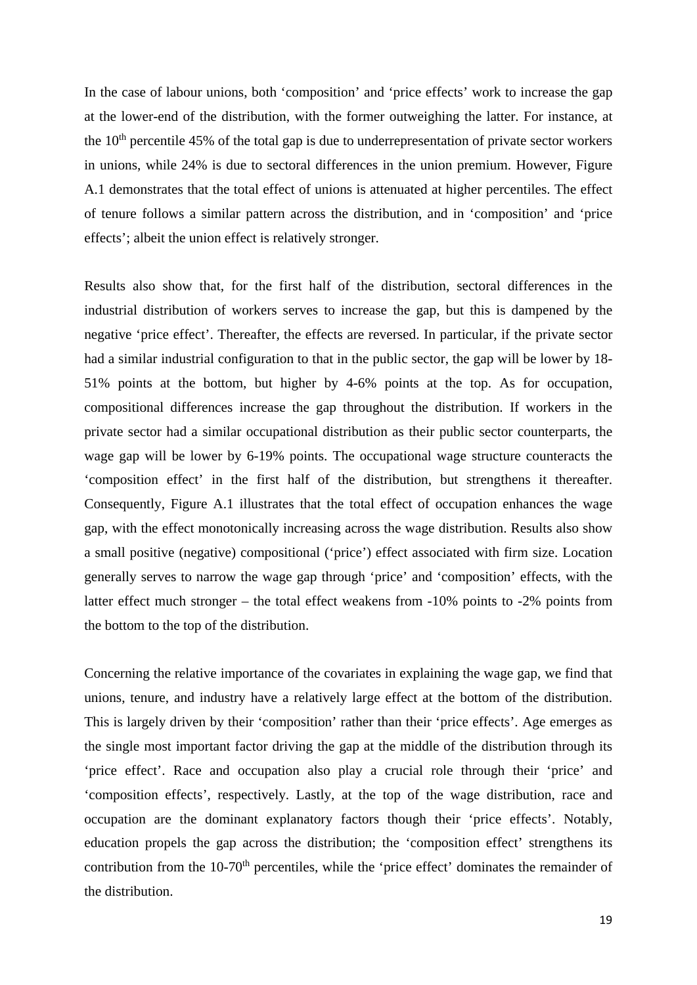In the case of labour unions, both 'composition' and 'price effects' work to increase the gap at the lower-end of the distribution, with the former outweighing the latter. For instance, at the  $10<sup>th</sup>$  percentile 45% of the total gap is due to underrepresentation of private sector workers in unions, while 24% is due to sectoral differences in the union premium. However, Figure A.1 demonstrates that the total effect of unions is attenuated at higher percentiles. The effect of tenure follows a similar pattern across the distribution, and in 'composition' and 'price effects'; albeit the union effect is relatively stronger.

Results also show that, for the first half of the distribution, sectoral differences in the industrial distribution of workers serves to increase the gap, but this is dampened by the negative 'price effect'. Thereafter, the effects are reversed. In particular, if the private sector had a similar industrial configuration to that in the public sector, the gap will be lower by 18- 51% points at the bottom, but higher by 4-6% points at the top. As for occupation, compositional differences increase the gap throughout the distribution. If workers in the private sector had a similar occupational distribution as their public sector counterparts, the wage gap will be lower by 6-19% points. The occupational wage structure counteracts the 'composition effect' in the first half of the distribution, but strengthens it thereafter. Consequently, Figure A.1 illustrates that the total effect of occupation enhances the wage gap, with the effect monotonically increasing across the wage distribution. Results also show a small positive (negative) compositional ('price') effect associated with firm size. Location generally serves to narrow the wage gap through 'price' and 'composition' effects, with the latter effect much stronger – the total effect weakens from -10% points to -2% points from the bottom to the top of the distribution.

Concerning the relative importance of the covariates in explaining the wage gap, we find that unions, tenure, and industry have a relatively large effect at the bottom of the distribution. This is largely driven by their 'composition' rather than their 'price effects'. Age emerges as the single most important factor driving the gap at the middle of the distribution through its 'price effect'. Race and occupation also play a crucial role through their 'price' and 'composition effects', respectively. Lastly, at the top of the wage distribution, race and occupation are the dominant explanatory factors though their 'price effects'. Notably, education propels the gap across the distribution; the 'composition effect' strengthens its contribution from the 10-70<sup>th</sup> percentiles, while the 'price effect' dominates the remainder of the distribution.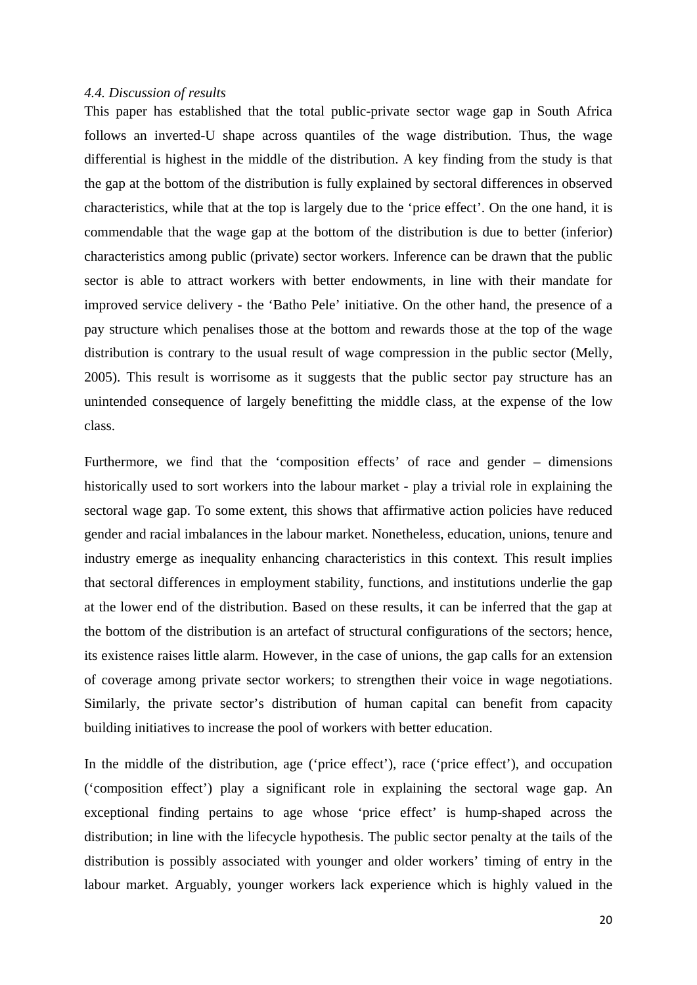#### *4.4. Discussion of results*

This paper has established that the total public-private sector wage gap in South Africa follows an inverted-U shape across quantiles of the wage distribution. Thus, the wage differential is highest in the middle of the distribution. A key finding from the study is that the gap at the bottom of the distribution is fully explained by sectoral differences in observed characteristics, while that at the top is largely due to the 'price effect'. On the one hand, it is commendable that the wage gap at the bottom of the distribution is due to better (inferior) characteristics among public (private) sector workers. Inference can be drawn that the public sector is able to attract workers with better endowments, in line with their mandate for improved service delivery - the 'Batho Pele' initiative. On the other hand, the presence of a pay structure which penalises those at the bottom and rewards those at the top of the wage distribution is contrary to the usual result of wage compression in the public sector (Melly, 2005). This result is worrisome as it suggests that the public sector pay structure has an unintended consequence of largely benefitting the middle class, at the expense of the low class.

Furthermore, we find that the 'composition effects' of race and gender – dimensions historically used to sort workers into the labour market - play a trivial role in explaining the sectoral wage gap. To some extent, this shows that affirmative action policies have reduced gender and racial imbalances in the labour market. Nonetheless, education, unions, tenure and industry emerge as inequality enhancing characteristics in this context. This result implies that sectoral differences in employment stability, functions, and institutions underlie the gap at the lower end of the distribution. Based on these results, it can be inferred that the gap at the bottom of the distribution is an artefact of structural configurations of the sectors; hence, its existence raises little alarm. However, in the case of unions, the gap calls for an extension of coverage among private sector workers; to strengthen their voice in wage negotiations. Similarly, the private sector's distribution of human capital can benefit from capacity building initiatives to increase the pool of workers with better education.

In the middle of the distribution, age ('price effect'), race ('price effect'), and occupation ('composition effect') play a significant role in explaining the sectoral wage gap. An exceptional finding pertains to age whose 'price effect' is hump-shaped across the distribution; in line with the lifecycle hypothesis. The public sector penalty at the tails of the distribution is possibly associated with younger and older workers' timing of entry in the labour market. Arguably, younger workers lack experience which is highly valued in the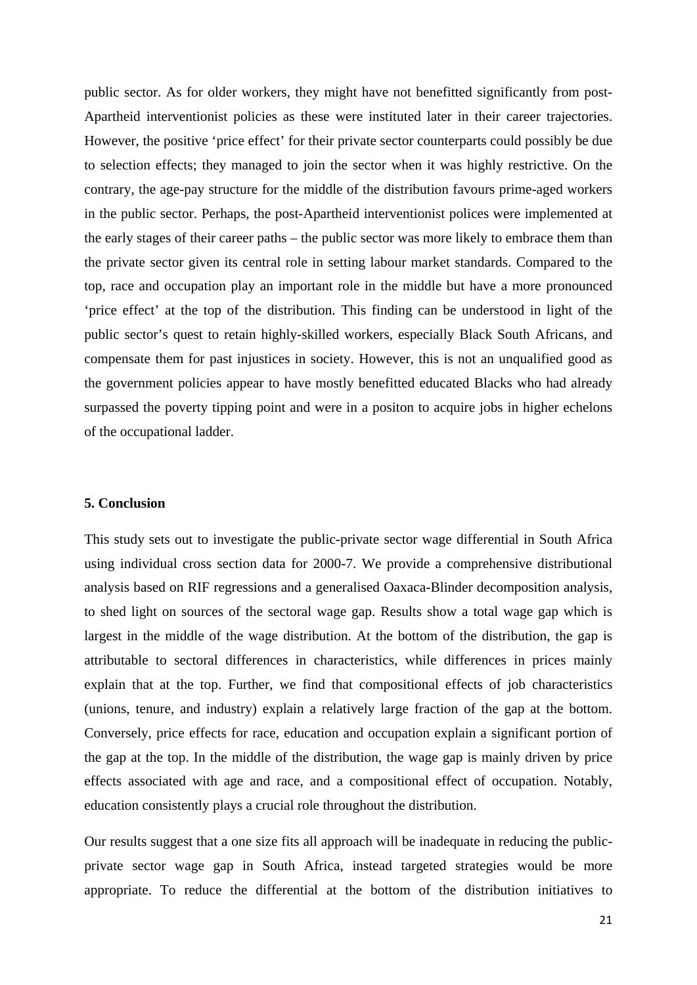public sector. As for older workers, they might have not benefitted significantly from post-Apartheid interventionist policies as these were instituted later in their career trajectories. However, the positive 'price effect' for their private sector counterparts could possibly be due to selection effects; they managed to join the sector when it was highly restrictive. On the contrary, the age-pay structure for the middle of the distribution favours prime-aged workers in the public sector. Perhaps, the post-Apartheid interventionist polices were implemented at the early stages of their career paths – the public sector was more likely to embrace them than the private sector given its central role in setting labour market standards. Compared to the top, race and occupation play an important role in the middle but have a more pronounced 'price effect' at the top of the distribution. This finding can be understood in light of the public sector's quest to retain highly-skilled workers, especially Black South Africans, and compensate them for past injustices in society. However, this is not an unqualified good as the government policies appear to have mostly benefitted educated Blacks who had already surpassed the poverty tipping point and were in a positon to acquire jobs in higher echelons of the occupational ladder.

#### **5. Conclusion**

This study sets out to investigate the public-private sector wage differential in South Africa using individual cross section data for 2000-7. We provide a comprehensive distributional analysis based on RIF regressions and a generalised Oaxaca-Blinder decomposition analysis, to shed light on sources of the sectoral wage gap. Results show a total wage gap which is largest in the middle of the wage distribution. At the bottom of the distribution, the gap is attributable to sectoral differences in characteristics, while differences in prices mainly explain that at the top. Further, we find that compositional effects of job characteristics (unions, tenure, and industry) explain a relatively large fraction of the gap at the bottom. Conversely, price effects for race, education and occupation explain a significant portion of the gap at the top. In the middle of the distribution, the wage gap is mainly driven by price effects associated with age and race, and a compositional effect of occupation. Notably, education consistently plays a crucial role throughout the distribution.

Our results suggest that a one size fits all approach will be inadequate in reducing the publicprivate sector wage gap in South Africa, instead targeted strategies would be more appropriate. To reduce the differential at the bottom of the distribution initiatives to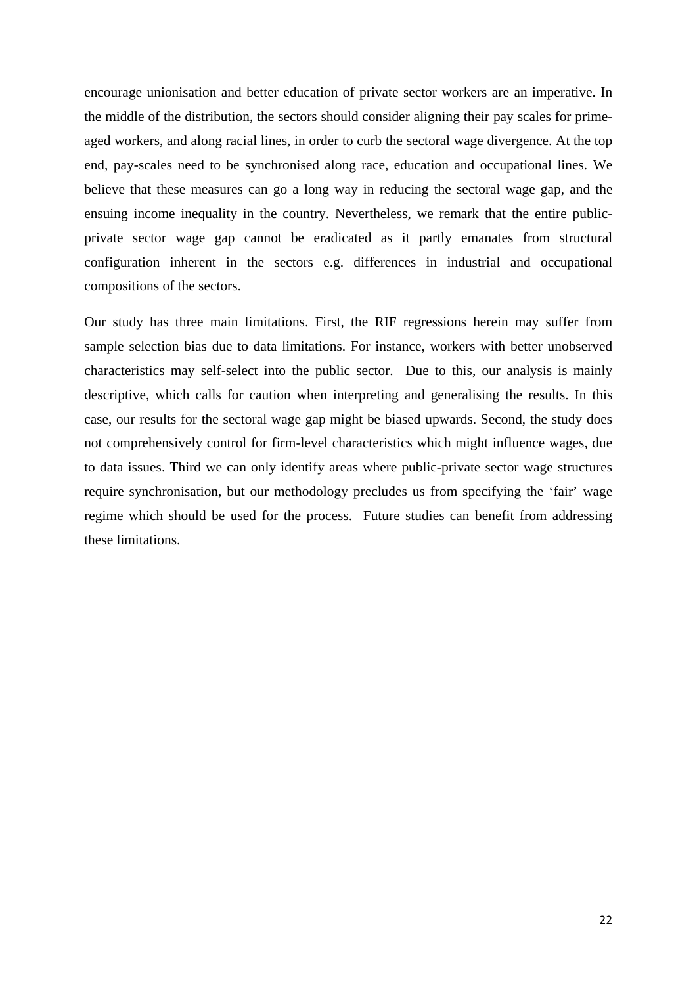encourage unionisation and better education of private sector workers are an imperative. In the middle of the distribution, the sectors should consider aligning their pay scales for primeaged workers, and along racial lines, in order to curb the sectoral wage divergence. At the top end, pay-scales need to be synchronised along race, education and occupational lines. We believe that these measures can go a long way in reducing the sectoral wage gap, and the ensuing income inequality in the country. Nevertheless, we remark that the entire publicprivate sector wage gap cannot be eradicated as it partly emanates from structural configuration inherent in the sectors e.g. differences in industrial and occupational compositions of the sectors.

Our study has three main limitations. First, the RIF regressions herein may suffer from sample selection bias due to data limitations. For instance, workers with better unobserved characteristics may self-select into the public sector. Due to this, our analysis is mainly descriptive, which calls for caution when interpreting and generalising the results. In this case, our results for the sectoral wage gap might be biased upwards. Second, the study does not comprehensively control for firm-level characteristics which might influence wages, due to data issues. Third we can only identify areas where public-private sector wage structures require synchronisation, but our methodology precludes us from specifying the 'fair' wage regime which should be used for the process. Future studies can benefit from addressing these limitations.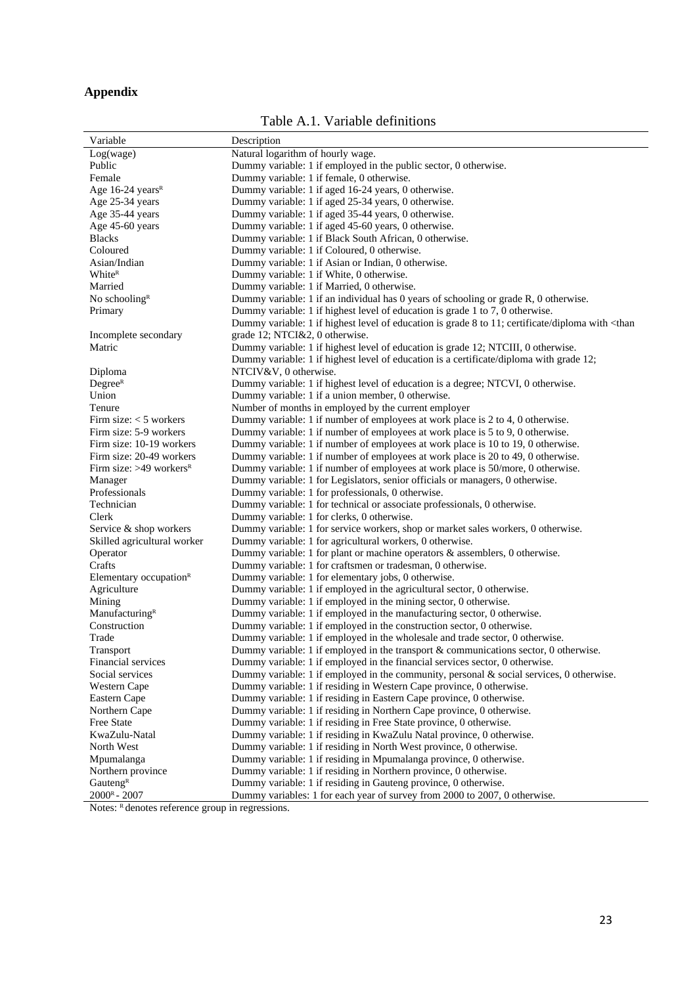### **Appendix**

Table A.1. Variable definitions

| Variable                              | Description                                                                                                                        |
|---------------------------------------|------------------------------------------------------------------------------------------------------------------------------------|
| Log(wage)                             | Natural logarithm of hourly wage.                                                                                                  |
| Public                                | Dummy variable: 1 if employed in the public sector, 0 otherwise.                                                                   |
| Female                                | Dummy variable: 1 if female, 0 otherwise.                                                                                          |
| Age 16-24 years <sup>R</sup>          | Dummy variable: 1 if aged 16-24 years, 0 otherwise.                                                                                |
| Age 25-34 years                       | Dummy variable: 1 if aged 25-34 years, 0 otherwise.                                                                                |
| Age 35-44 years                       | Dummy variable: 1 if aged 35-44 years, 0 otherwise.                                                                                |
| Age 45-60 years                       | Dummy variable: 1 if aged 45-60 years, 0 otherwise.                                                                                |
| <b>Blacks</b>                         | Dummy variable: 1 if Black South African, 0 otherwise.                                                                             |
| Coloured                              | Dummy variable: 1 if Coloured, 0 otherwise.                                                                                        |
| Asian/Indian                          | Dummy variable: 1 if Asian or Indian, 0 otherwise.                                                                                 |
| White <sup>R</sup>                    | Dummy variable: 1 if White, 0 otherwise.                                                                                           |
| Married                               | Dummy variable: 1 if Married, 0 otherwise.                                                                                         |
| No schooling <sup>R</sup>             | Dummy variable: 1 if an individual has 0 years of schooling or grade R, 0 otherwise.                                               |
| Primary                               | Dummy variable: 1 if highest level of education is grade 1 to 7, 0 otherwise.                                                      |
|                                       | Dummy variable: 1 if highest level of education is grade 8 to 11; certificate/diploma with <than< td=""></than<>                   |
| Incomplete secondary                  | grade 12; NTCI&2, 0 otherwise.                                                                                                     |
| Matric                                | Dummy variable: 1 if highest level of education is grade 12; NTCIII, 0 otherwise.                                                  |
|                                       | Dummy variable: 1 if highest level of education is a certificate/diploma with grade 12;                                            |
| Diploma                               | NTCIV&V, 0 otherwise.                                                                                                              |
| Degree <sup>R</sup>                   | Dummy variable: 1 if highest level of education is a degree; NTCVI, 0 otherwise.                                                   |
| Union                                 | Dummy variable: 1 if a union member, 0 otherwise.                                                                                  |
| Tenure                                | Number of months in employed by the current employer                                                                               |
| Firm size: $<$ 5 workers              | Dummy variable: 1 if number of employees at work place is 2 to 4, 0 otherwise.                                                     |
| Firm size: 5-9 workers                | Dummy variable: 1 if number of employees at work place is 5 to 9, 0 otherwise.                                                     |
| Firm size: 10-19 workers              | Dummy variable: 1 if number of employees at work place is 10 to 19, 0 otherwise.                                                   |
| Firm size: 20-49 workers              | Dummy variable: 1 if number of employees at work place is 20 to 49, 0 otherwise.                                                   |
| Firm size: $>49$ workers <sup>R</sup> | Dummy variable: 1 if number of employees at work place is 50/more, 0 otherwise.                                                    |
|                                       |                                                                                                                                    |
| Manager<br>Professionals              | Dummy variable: 1 for Legislators, senior officials or managers, 0 otherwise.<br>Dummy variable: 1 for professionals, 0 otherwise. |
| Technician                            | Dummy variable: 1 for technical or associate professionals, 0 otherwise.                                                           |
| Clerk                                 |                                                                                                                                    |
|                                       | Dummy variable: 1 for clerks, 0 otherwise.<br>Dummy variable: 1 for service workers, shop or market sales workers, 0 otherwise.    |
| Service & shop workers                |                                                                                                                                    |
| Skilled agricultural worker           | Dummy variable: 1 for agricultural workers, 0 otherwise.                                                                           |
| Operator                              | Dummy variable: 1 for plant or machine operators $\&$ assemblers, 0 otherwise.                                                     |
| Crafts                                | Dummy variable: 1 for craftsmen or tradesman, 0 otherwise.                                                                         |
| Elementary occupation $R$             | Dummy variable: 1 for elementary jobs, 0 otherwise.                                                                                |
| Agriculture                           | Dummy variable: 1 if employed in the agricultural sector, 0 otherwise.                                                             |
| Mining                                | Dummy variable: 1 if employed in the mining sector, 0 otherwise.                                                                   |
| Manufacturing <sup>R</sup>            | Dummy variable: 1 if employed in the manufacturing sector, 0 otherwise.                                                            |
| Construction                          | Dummy variable: 1 if employed in the construction sector, 0 otherwise.                                                             |
| Trade                                 | Dummy variable: 1 if employed in the wholesale and trade sector, 0 otherwise.                                                      |
| Transport                             | Dummy variable: 1 if employed in the transport $&$ communications sector, 0 otherwise.                                             |
| Financial services                    | Dummy variable: 1 if employed in the financial services sector, 0 otherwise.                                                       |
| Social services                       | Dummy variable: 1 if employed in the community, personal $\&$ social services, 0 otherwise.                                        |
| Western Cape                          | Dummy variable: 1 if residing in Western Cape province, 0 otherwise.                                                               |
| Eastern Cape                          | Dummy variable: 1 if residing in Eastern Cape province, 0 otherwise.                                                               |
| Northern Cape                         | Dummy variable: 1 if residing in Northern Cape province, 0 otherwise.                                                              |
| Free State                            | Dummy variable: 1 if residing in Free State province, 0 otherwise.                                                                 |
| KwaZulu-Natal                         | Dummy variable: 1 if residing in KwaZulu Natal province, 0 otherwise.                                                              |
| North West                            | Dummy variable: 1 if residing in North West province, 0 otherwise.                                                                 |
| Mpumalanga                            | Dummy variable: 1 if residing in Mpumalanga province, 0 otherwise.                                                                 |
| Northern province                     | Dummy variable: 1 if residing in Northern province, 0 otherwise.                                                                   |
| Gauteng $R$                           | Dummy variable: 1 if residing in Gauteng province, 0 otherwise.                                                                    |
| $2000^R - 2007$                       | Dummy variables: 1 for each year of survey from 2000 to 2007, 0 otherwise.                                                         |

Notes: R denotes reference group in regressions.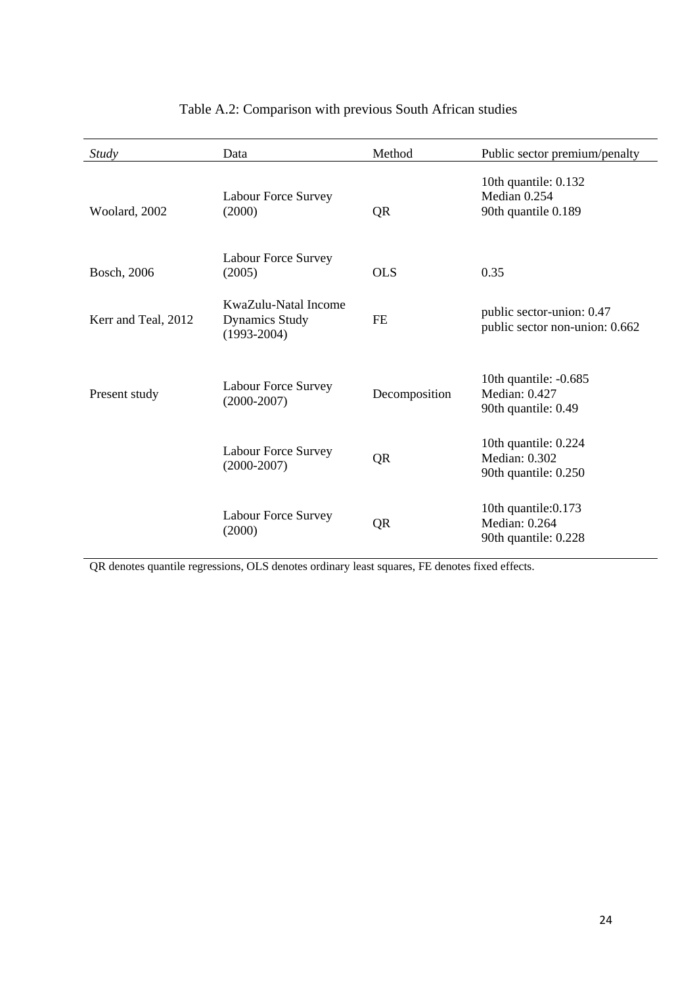| Study               | Data                                                             | Method        | Public sector premium/penalty                                 |
|---------------------|------------------------------------------------------------------|---------------|---------------------------------------------------------------|
| Woolard, 2002       | <b>Labour Force Survey</b><br>(2000)                             | QR            | 10th quantile: 0.132<br>Median 0.254<br>90th quantile 0.189   |
| Bosch, 2006         | Labour Force Survey<br>(2005)                                    | <b>OLS</b>    | 0.35                                                          |
| Kerr and Teal, 2012 | KwaZulu-Natal Income<br><b>Dynamics Study</b><br>$(1993 - 2004)$ | <b>FE</b>     | public sector-union: 0.47<br>public sector non-union: 0.662   |
| Present study       | Labour Force Survey<br>$(2000-2007)$                             | Decomposition | 10th quantile: -0.685<br>Median: 0.427<br>90th quantile: 0.49 |
|                     | Labour Force Survey<br>$(2000-2007)$                             | QR            | 10th quantile: 0.224<br>Median: 0.302<br>90th quantile: 0.250 |
|                     | Labour Force Survey<br>(2000)                                    | QR            | 10th quantile: 0.173<br>Median: 0.264<br>90th quantile: 0.228 |

### Table A.2: Comparison with previous South African studies

QR denotes quantile regressions, OLS denotes ordinary least squares, FE denotes fixed effects.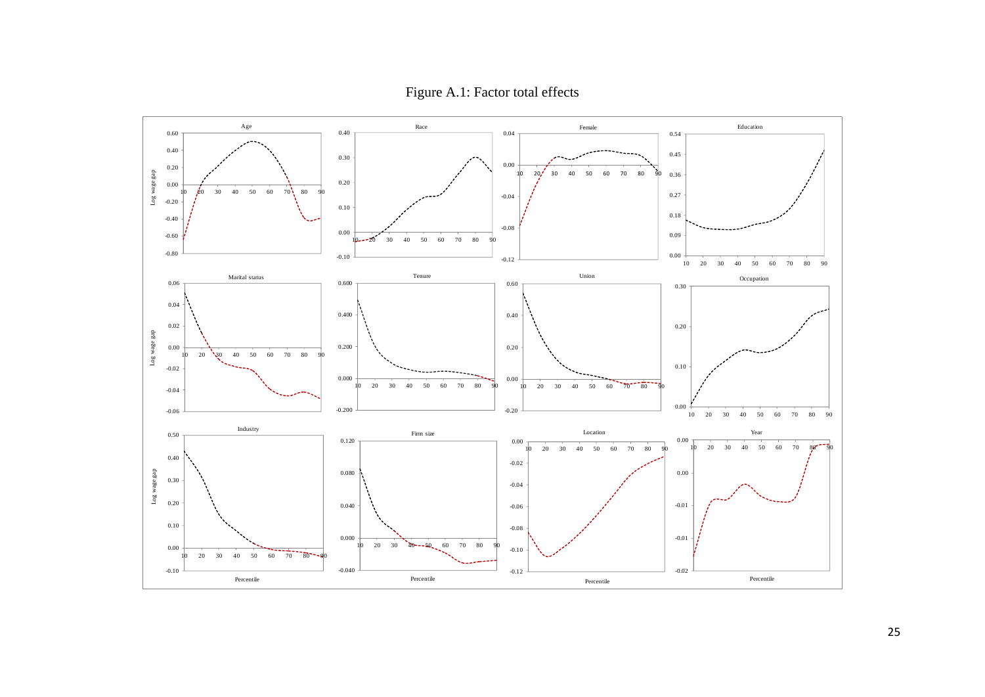Figure A.1: Factor total effects

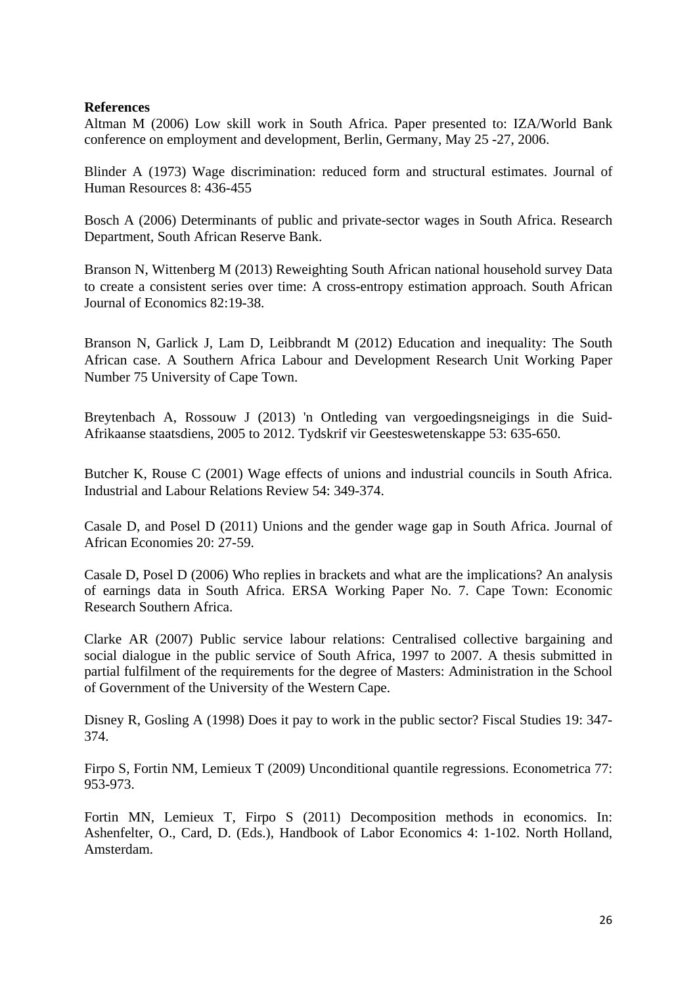#### **References**

Altman M (2006) Low skill work in South Africa. Paper presented to: IZA/World Bank conference on employment and development, Berlin, Germany, May 25 -27, 2006.

Blinder A (1973) Wage discrimination: reduced form and structural estimates. Journal of Human Resources 8: 436-455

Bosch A (2006) Determinants of public and private-sector wages in South Africa. Research Department, South African Reserve Bank.

Branson N, Wittenberg M (2013) Reweighting South African national household survey Data to create a consistent series over time: A cross-entropy estimation approach. South African Journal of Economics 82:19-38.

Branson N, Garlick J, Lam D, Leibbrandt M (2012) Education and inequality: The South African case. A Southern Africa Labour and Development Research Unit Working Paper Number 75 University of Cape Town.

Breytenbach A, Rossouw J (2013) 'n Ontleding van vergoedingsneigings in die Suid-Afrikaanse staatsdiens, 2005 to 2012. Tydskrif vir Geesteswetenskappe 53: 635-650.

Butcher K, Rouse C (2001) Wage effects of unions and industrial councils in South Africa. Industrial and Labour Relations Review 54: 349-374.

Casale D, and Posel D (2011) Unions and the gender wage gap in South Africa. Journal of African Economies 20: 27-59.

Casale D, Posel D (2006) Who replies in brackets and what are the implications? An analysis of earnings data in South Africa. ERSA Working Paper No. 7. Cape Town: Economic Research Southern Africa.

Clarke AR (2007) Public service labour relations: Centralised collective bargaining and social dialogue in the public service of South Africa, 1997 to 2007. A thesis submitted in partial fulfilment of the requirements for the degree of Masters: Administration in the School of Government of the University of the Western Cape.

Disney R, Gosling A (1998) Does it pay to work in the public sector? Fiscal Studies 19: 347- 374.

Firpo S, Fortin NM, Lemieux T (2009) Unconditional quantile regressions. Econometrica 77: 953-973.

Fortin MN, Lemieux T, Firpo S (2011) Decomposition methods in economics. In: Ashenfelter, O., Card, D. (Eds.), Handbook of Labor Economics 4: 1-102. North Holland, Amsterdam.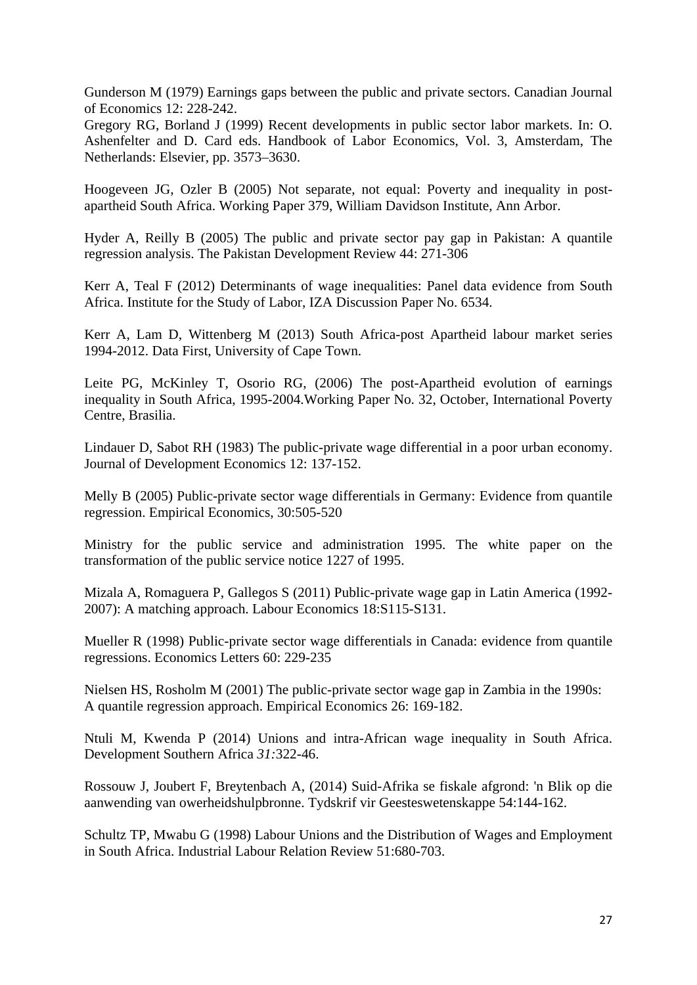Gunderson M (1979) Earnings gaps between the public and private sectors. Canadian Journal of Economics 12: 228-242.

Gregory RG, Borland J (1999) Recent developments in public sector labor markets. In: O. Ashenfelter and D. Card eds. Handbook of Labor Economics, Vol. 3, Amsterdam, The Netherlands: Elsevier, pp. 3573–3630.

Hoogeveen JG, Ozler B (2005) Not separate, not equal: Poverty and inequality in postapartheid South Africa. Working Paper 379, William Davidson Institute, Ann Arbor.

Hyder A, Reilly B (2005) The public and private sector pay gap in Pakistan: A quantile regression analysis. The Pakistan Development Review 44: 271-306

Kerr A, Teal F (2012) Determinants of wage inequalities: Panel data evidence from South Africa. Institute for the Study of Labor, IZA Discussion Paper No. 6534.

Kerr A, Lam D, Wittenberg M (2013) South Africa-post Apartheid labour market series 1994-2012. Data First, University of Cape Town.

Leite PG, McKinley T, Osorio RG, (2006) The post-Apartheid evolution of earnings inequality in South Africa, 1995-2004.Working Paper No. 32, October, International Poverty Centre, Brasilia.

Lindauer D, Sabot RH (1983) The public-private wage differential in a poor urban economy. Journal of Development Economics 12: 137-152.

Melly B (2005) Public-private sector wage differentials in Germany: Evidence from quantile regression. Empirical Economics, 30:505-520

Ministry for the public service and administration 1995. The white paper on the transformation of the public service notice 1227 of 1995.

Mizala A, Romaguera P, Gallegos S (2011) Public-private wage gap in Latin America (1992- 2007): A matching approach. Labour Economics 18:S115-S131.

Mueller R (1998) Public-private sector wage differentials in Canada: evidence from quantile regressions. Economics Letters 60: 229-235

Nielsen HS, Rosholm M (2001) The public-private sector wage gap in Zambia in the 1990s: A quantile regression approach. Empirical Economics 26: 169-182.

Ntuli M, Kwenda P (2014) Unions and intra-African wage inequality in South Africa. Development Southern Africa *31:*322-46.

Rossouw J, Joubert F, Breytenbach A, (2014) Suid-Afrika se fiskale afgrond: 'n Blik op die aanwending van owerheidshulpbronne. Tydskrif vir Geesteswetenskappe 54:144-162.

Schultz TP, Mwabu G (1998) Labour Unions and the Distribution of Wages and Employment in South Africa. Industrial Labour Relation Review 51:680-703.